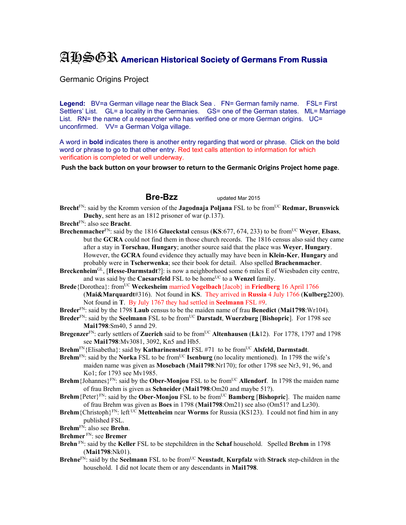## AHSGR **American Historical Society of Germans From Russia**

Germanic Origins Project

Legend: BV=a German village near the Black Sea . FN= German family name. FSL= First Settlers' List. GL= a locality in the Germanies. GS= one of the German states. ML= Marriage List. RN= the name of a researcher who has verified one or more German origins. UC= unconfirmed. VV= a German Volga village.

A word in **bold** indicates there is another entry regarding that word or phrase. Click on the bold word or phrase to go to that other entry. Red text calls attention to information for which verification is completed or well underway.

**Push the back button on your browser to return to the Germanic Origins Project home page**.

**Bre-Bzz** updated Mar 2015

- Brecht<sup>FN</sup>: said by the Kromm version of the **Jagodnaja Poljana** FSL to be from<sup>UC</sup> Redmar, Brunswick **Duchy**, sent here as an 1812 prisoner of war (p.137).
- **Brecht**FN: also see **Bracht**.
- **Brechenmacher**<sub>FN:</sub> said by the 1816 **Glueckstal** census (**KS**:677, 674, 233) to be from<sup>UC</sup> Weyer, **Elsass**, but the **GCRA** could not find them in those church records. The 1816 census also said they came after a stay in **Torschau**, **Hungary**; another source said that the place was **Weyer**, **Hungary**. However, the **GCRA** found evidence they actually may have been in **Klein-Ker**, **Hungary** and probably were in **Tscherwenka**; see their book for detail. Also spelled **Brachenmacher**.
- **Breckenheim**GL, [**Hesse-Darmstadt**?]: is now a neighborhood some 6 miles E of Wiesbaden city centre, and was said by the **Caesarsfeld** FSL to be home<sup>UC</sup> to a **Wenzel** family.
- **Brede**{Dorothea}: from<sup>UC</sup> **Weckesheim** married **Vogelbach**{Jacob} in **Friedberg** 16 April 1766 (**Mai&Marquardt**#316). Not found in **KS**. They arrived in **Russia** 4 July 1766 (**Kulberg**2200). Not found in **T**. By July 1767 they had settled in **Seelmann** FSL #9.
- **Breder**FN: said by the 1798 **Laub** census to be the maiden name of frau **Benedict** (**Mai1798**:Wr104).
- **Breder**FN: said by the **Seelmann** FSL to be fromUC **Darstadt**, **Wuerzburg** [**Bishopric**]. For 1798 see **Mai1798**:Sm40, 5 annd 29.
- **Bregenzer**FN: early settlers of **Zuerich** said to be fromUC **Altenhausen** (**Lk**12). For 1778, 1797 and 1798 see **Mai1798**:Mv3081, 3092, Kn5 and Hb5.
- **Brehm**<sup>FN</sup>{Elisabetha}: said by **Katharinenstadt** FSL #71 to be from<sup>UC</sup> Alsfeld, Darmstadt.
- Brehm<sup>FN</sup>: said by the Norka FSL to be from<sup>UC</sup> Isenburg (no locality mentioned). In 1798 the wife's maiden name was given as **Mosebach** (**Mai1798**:Nr170); for other 1798 see Nr3, 91, 96, and Ko1; for 1793 see Mv1985.
- **Brehm** {Johannes} $F_N$ : said by the **Ober-Monjou** FSL to be from<sup>UC</sup> **Allendorf**. In 1798 the maiden name of frau Brehm is given as **Schneider** (**Mai1798**:Om20 and maybe 51?).
- **Brehm** {Peter  ${}^{\text{FN}}$ : said by the **Ober-Monjou** FSL to be from<sup>UC</sup> **Bamberg** [Bishopric]. The maiden name of frau Brehm was given as **Boes** in 1798 (**Mai1798**:Om21) see also (Om51? and Lz30).
- **Brehm** {Christoph}<sup>FN</sup>: left <sup>UC</sup> **Mettenheim** near **Worms** for Russia (KS123). I could not find him in any published FSL.
- **Brehm**FN: also see **Brehn**.
- **Brehmer** FN: see **Bremer**
- **Brehn** FN: said by the **Keller** FSL to be stepchildren in the **Schaf** household. Spelled **Brehm** in 1798 (**Mai1798**:Nk01).
- **Brehne**<sup>FN</sup>: said by the **Seelmann** FSL to be from<sup>UC</sup> **Neustadt**, **Kurpfalz** with **Strack** step-children in the household. I did not locate them or any descendants in **Mai1798**.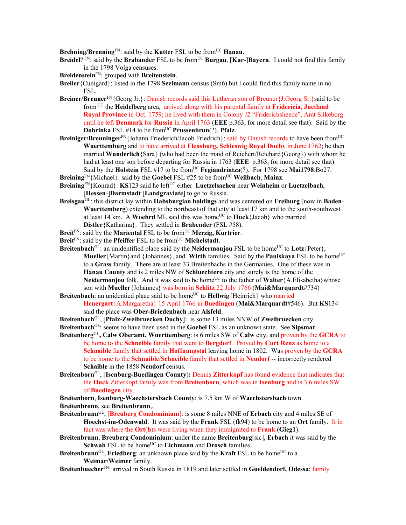Brehning/Brenning<sup>FN</sup>: said by the **Kutter** FSL to be from<sup>UC</sup> **Hanau.** 

**Breidel**? FN: said by the **Brabander** FSL to be from<sup>UC</sup> **Burgau**, [Kur-]Bayern. I could not find this family in the 1798 Volga censuses.

**Breidenstein**FN: grouped with **Breitenstein**.

**Breiler**{Cunigard}: listed in the 1798 **Seelmann** census (Sm6) but I could find this family name in no FSL.

- **Breiner/Breuner**FN{Georg Jr.}: Danish records said this Lutheran son of Breuner{J.Georg Sr.}said to be from UC the **Heidelberg** area, arrived along with his parental family at **Fridericia, Juetland Royal Province** in Oct. 1759; he lived with them in Colony J2 "Friderichsheede", Amt Silkeborg until he left **Denmark** for **Russia** in April 1763 (**EEE** p.363, for more detail see that). Said by the **Dobrinka** FSL #14 to be from<sup>UC</sup> **Prussenbrun**(?), **Pfalz**.
- **Breiniger/Breuninger**<sup>FN</sup>{Johann Friederich/Jacob Friedrich}: said by Danish records to have been from<sup>UC</sup> **Wuerttemburg** and to have arrived at **Flensburg, Schleswig Royal Duchy** in June 1762; he then married **Wunderlich**{Sara} (who had been the maid of Reichert/Reichard{Georg}) with whom he had at least one son before departing for Russia in 1763 (**EEE** p.363, for more detail see that). Said by the **Holstein** FSL #17 to be from<sup>UC</sup> **Fegiandrintza**(?). For 1798 see **Mai1798**:Bo27.
- **Breining**FN{Michael}: said by the **Goebel** FSL #25 to be fromUC **Weilbach**, **Mainz**.
- **Breining**FN{Konrad}: **KS**123 said he leftUC either **Luetzelsachen** near **Weinheim** or **Luetzelbach**, [**Hessen**-]**Darmstadt** [**Landgraviate**] to go to Russia.
- **Breisgau**GL: this district lay within **Habsburgian holdings** and was centered on **Freiburg** (now in **Baden**-**Wuerttemberg**) extending to the northeast of that city at least 17 km and to the south-southwest at least 14 km. A **Woehrd** ML said this was home<sup>UC</sup> to **Huck**{Jacob} who married **Distler**{Katharina}. They settled in **Brabender** (FSL #58).
- Breit<sup>FN</sup>: said by the Mariental FSL to be from<sup>UC</sup> Merzig, Kurtrier.
- Breit<sup>FN</sup>: said by the **Pfeiffer** FSL to be from<sup>UC</sup> **Michelstadt**.
- **Breitenbach**<sup>GL</sup>: an unidentified place said by the **Neidermonjou** FSL to be home<sup>UC</sup> to **Lotz**{Peter}, **Mueller** {Martin}and {Johannes}, and **Wirth** families. Said by the **Paulskaya** FSL to be home<sup>UC</sup> to a **Grass** family. There are at least 33 Breitenbachs in the Germanies. One of these was in **Hanau County** and is 2 miles NW of **Schluechtern** city and surely is the home of the **Neidermonjou** folk. And it was said to be home<sup>UC</sup> to the father of **Walter**{A.Elisabetha}whose son with **Mueller**{Johannes} was born in **Schlitz** 22 July 1766 (**Mai&Marquardt**#734) .
- **Breitenbach**: an unidentied place said to be home<sup>UC</sup> to **Hellwig**{Heinrich} who married **Henergart**{A.Margaretha} 15 April 1766 in **Buedingen** (**Mai&Marquardt**#546). But **KS**134 said the place was **Ober-Briedenbach** near **Alsfeld**.
- **Breitenbach**GL, [**Pfalz-Zweibruecken Duchy**]: is some 13 miles NNW of **Zweibruecken** city.
- **Breitenbach**GS: seems to have been used in the **Goebel** FSL as an unknown state. See **Sipsmar**.
- **Breitenberg**GL**, Calw Oberamt, Wuerttemberg**: is 6 miles SW of **Calw** city, and proven by the **GCRA** to be home to the **Schneible** family that went to **Bergdorf**. Proved by **Curt Renz** as home to a **Schnaible** family that settled in **Hoffnungstal** leaving home in 1802. Was proven by the **GCRA** to be home to the **Schnaible**/**Schneible** family that settled in **Neudorf** -- incorrectly rendered **Schaible** in the 1858 **Neudorf** census.
- **Breitenborn**GL, [**Isenburg-Buedingen County**]**:** Dennis **Zitterkopf** has found evidence that indicates that the **Huck** Zitterkopf family was from **Breitenborn**, which was in **Isenburg** and is 3.6 miles SW of **Buedingen** city.
- **Breitenborn**, **Isenburg-Waechstersbach County**: is 7.5 km W of **Waechstersbach** town. **Breitenbronn**, see **Breitenbrunn**,.
- **Breitenbrunn**GL, [**Breuberg Condominium**]: is some 8 miles NNE of **Erbach** city and 4 miles SE of **Hoechst-im-Odenwald**. It was said by the **Frank** FSL (fk94) to be home to an **Ort** family. It in fact was where the **Ort**(**h**)s were living when they immigrated to **Frank** (**Gieg1**).
- **Breitenbrunn**, **Breuberg Condominium**: under the name **Breitenburg**[sic], **Erbach** it was said by the **Schwab** FSL to be home<sup>UC</sup> to **Eichmann** and **Drosch** families.
- **Breitenbrunn**<sup>GL</sup>, **Friedberg**: an unknown place said by the **Kraft** FSL to be home<sup>UC</sup> to a **Weimar/Weimer** family.
- **Breitenbuecher**FN: arrived in South Russia in 1819 and later settled in **Gueldendorf, Odessa**; family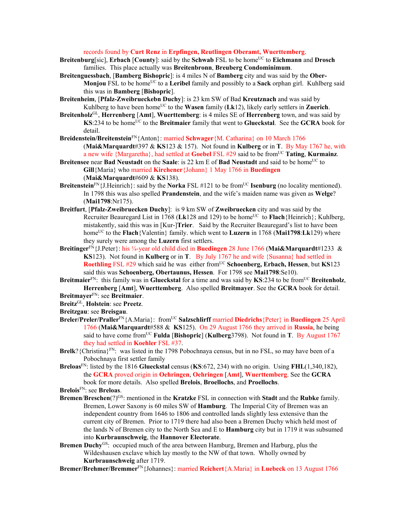records found by **Curt Renz** in **Erpfingen, Reutlingen Oberamt, Wuerttemberg**.

- **Breitenburg**[sic], **Erbach** [**County**]: said by the **Schwab** FSL to be home<sup>UC</sup> to **Eichmann** and **Drosch** families. This place actually was **Breitenbronn**, **Breuberg Condominimum**.
- **Breitenguessbach**, [**Bamberg Bishopric**]: is 4 miles N of **Bamberg** city and was said by the **Ober-Monjou** FSL to be home<sup>UC</sup> to a **Leribel** family and possibly to a **Sack** orphan girl. Kuhlberg said this was in **Bamberg** [**Bishopric**].
- **Breitenheim***,* [**Pfalz-Zweibrueckebn Duchy**]: is 23 km SW of Bad **Kreutznach** and was said by Kuhlberg to have been home<sup>UC</sup> to the **Wasen** family ( $Lk12$ ), likely early settlers in **Zuerich**.
- **Breitenholz**GL, **Herrenberg** [**Amt**], **Wuerttemberg**: is 4 miles SE of **Herrenberg** town, and was said by **KS**:234 to be home<sup>UC</sup> to the **Breitmaier** family that went to **Glueckstal**. See the **GCRA** book for detail.
- **Breidenstein/Breitenstein**FN{Anton}: married **Schwager**{M. Catharina} on 10 March 1766 (**Mai&Marquardt**#397 & **KS**123 & 157). Not found in **Kulberg** or in **T**. By May 1767 he, with a new wife {Margaretha}, had settled at **Goebel** FSL #29 said to be fromUC **Tating**, **Kurmainz**.
- **Breitensee near Bad Neustadt** on the **Saale**: is 22 km E of **Bad Neustadt** and said to be home<sup>UC</sup> to **Gill**{Maria} who married **Kirchener**{Johann} 1 May 1766 in **Buedingen**  (**Mai&Marquardt**#609 & **KS**138).
- **Breitenstein**<sup>FN</sup>{J.Heinrich}: said by the **Norka** FSL #121 to be from<sup>UC</sup> **Isenburg** (no locality mentioned). In 1798 this was also spelled **Prandenstein**, and the wife's maiden name was given as **Welge**? (**Mai1798**:Nr175).
- **Breitfurt**, [**Pfalz-Zweibruecken Duchy**]:is 9 km SW of **Zweibruecken** city and was said by the Recruiter Beauregard List in 1768 (Lk128 and 129) to be home<sup>UC</sup> to **Flach**{Heinrich}; Kuhlberg, mistakently, said this was in [Kur-]**Trier**. Said by the Recruiter Beauregard's list to have been home<sup>UC</sup> to the **Flach**{Valentin} family. which went to **Luzern** in 1768 (**Mai1798**:**Lk**129) where they surely were among the **Luzern** first settlers.
- **Breitinger**FN{J.Peter}: his ¼-year old child died in **Buedingen** 28 June 1766 (**Mai&Marquardt**#1233 & **KS**123). Not found in **Kulberg** or in **T**. By July 1767 he and wife {Susanna} had settled in **Roethling** FSL #29 which said he was either from<sup>UC</sup> Schoenberg, Erbach, Hessen, but **KS**123 said this was **Schoenberg, Obertaunus, Hessen**. For 1798 see **Mai1798**:Se10).
- **Breitmaier**<sup>FN</sup>: this family was in **Glueckstal** for a time and was said by **KS**:234 to be from<sup>UC</sup> Breitenholz, **Herrenberg** [**Amt**], **Wuerttemberg**. Also spelled **Breitmayer**. See the **GCRA** book for detail.
- **Breitmayer**FN: see **Breitmaier**.

- **Breitzgau**: see **Breisgau**.
- **Breler/Preler/Praller**FN{A.Maria}: fromUC **Salzschlirff** married **Diedrichs**{Peter} in **Buedingen** 25 April 1766 (**Mai&Marquardt**#588 & **KS**125). On 29 August 1766 they arrived in **Russia**, he being said to have come fromUC **Fulda** [**Bishopric**] (**Kulberg**3798). Not found in **T**. By August 1767 they had settled in **Koehler** FSL #37.
- Brelk? {Christina}<sup>FN</sup>: was listed in the 1798 Pobochnaya census, but in no FSL, so may have been of a Pobochnaya first settler family
- **Breloas**FN: listed by the 1816 **Glueckstal** census (**KS**:672, 234) with no origin. Using **FHL**(1,340,182), the **GCRA** proved origin in **Oehringen**, **Oehringen** [**Amt**], **Wuerttemberg**. See the **GCRA** book for more details.Also spelled **Brelois**, **Broellochs**, and **Proellochs**.
- **Brelois**FN: see **Breloas**.
- **Bremen**/**Breschen**(?)GS: mentioned in the **Kratzke** FSL in connection with **Stadt** and the **Rubke** family. Bremen, Lower Saxony is 60 miles SW of **Hamburg**. The Imperial City of Bremen was an independent country from 1646 to 1806 and controlled lands slightly less extensive than the current city of Bremen. Prior to 1719 there had also been a Bremen Duchy which held most of the lands N of Bremen city to the North Sea and E to **Hamburg** city but in 1719 it was subsumed into **Kurbraunschweig**, the **Hannover Electorate**.
- **Bremen Duchy**<sup>GS</sup>: occupied much of the area between Hamburg, Bremen and Harburg, plus the Wildeshausen exclave which lay mostly to the NW of that town. Wholly owned by **Kurbraunschweig** after 1719.
- **Bremer/Brehmer/Bremmer**FN{Johannes}: married **Reichert**{A.Maria} in **Luebeck** on 13 August 1766

**Breitz**GL, **Holstein**: see **Preetz**.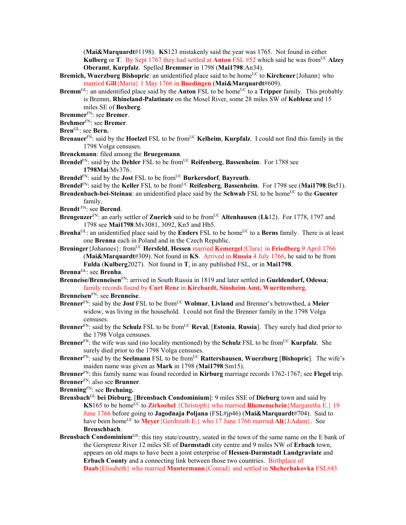(**Mai&Marquardt**#1198). **KS**123 mistakenly said the year was 1765. Not found in either **Kulberg** or **T**. By Sept 1767 they had settled at **Anton** FSL #52 which said he was from<sup>UC</sup> Alzey **Oberamt**, **Kurpfalz**.Spelled **Bremmer** in 1798 (**Mai1798**:An34).

- **Bremich, Wuerzburg Bishopric**: an unidentified place said to be home<sup>UC</sup> to **Kirchener**{Johann} who married **Gill**{Maria} 1 May 1766 in **Buedingen** (**Mai&Marquardt**#609).
- **Bremm**<sup>GL</sup>: an unidentified place said by the **Anton** FSL to be home<sup>UC</sup> to a **Tripper** family. This probably is Bremm, **Rhineland-Palatinate** on the Mosel River, some 28 miles SW of **Koblenz** and 15 miles SE of **Boxberg**.
- **Bremmer**FN: see **Bremer**.
- **Brehmer**FN: see **Bremer**.
- **Bren**GL: see **Bern.**
- **Brenauer**<sup>FN</sup>: said by the **Hoelzel** FSL to be from<sup>UC</sup> **Kelheim**, **Kurpfalz**. I could not find this family in the 1798 Volga censuses.
- **Brenckmann**: filed among the **Bruegemann**.
- **Brendel**<sup>FN</sup>: said by the **Dehler** FSL to be from<sup>UC</sup> **Reifenberg**, **Bassenheim**. For 1788 see **1798Mai**:Mv376.
- **Brendel**<sup>FN</sup>: said by the **Jost** FSL to be from<sup>UC</sup> **Burkersdorf**, **Bayreuth**.
- Brendel<sup>FN</sup>: said by the Keller FSL to be from<sup>UC</sup> Reifenberg, Bassenheim. For 1798 see (Mai1798:Bn51).
- **Brendenbach-bei-Steinau**: an unidentified place said by the **Schwab** FSL to be home<sup>UC</sup> to the **Guenter** family.
- **Brendt** FN: see **Berend**.
- **Brengenzer**<sup>FN</sup>: an early settler of **Zuerich** said to be from<sup>UC</sup> **Altenhausen** (Lk12). For 1778, 1797 and 1798 see **Mai1798**:Mv3081, 3092, Kn5 and Hb5.
- **Brenha**<sup>GL</sup>: an unidentified place said by the **Enders** FSL to be home<sup>UC</sup> to a **Berns** family. There is at least one **Brenna** each in Poland and in the Czech Republic.
- **Breninger** {Johannes}: from<sup>UC</sup> **Hersfeld**, **Hessen** married **Kemergel** {Clara} in **Friedberg** 9 April 1766
	- (**Mai&Marquardt**#309). Not found in **KS**. Arrived in **Russia** 4 July 1766, he said to be from **Fulda** (**Kulberg**2027). Not found in **T**, in any published FSL, or in **Mai1798**.

**Brenna**GL: see **Brenha**.

- **Brenneise/Brenneisen**FN: arrived in South Russia in 1819 and later settled in **Gueldendorf, Odessa**; family records found by **Curt Renz** in **Kirchardt, Sinsheim Amt, Wuerttemberg**.
- **Brenneisen**FN: see **Brenneise**.
- **Brenner**FN: said by the **Jost** FSL to be fromUC **Wolmar**, **Livland** and Brenner's betrowthed, a **Meier** widow, was living in the household. I could not find the Brenner family in the 1798 Volga censuses.
- **Brenner**FN: said by the **Schulz** FSL to be fromUC **Reval**, [**Estonia**, **Russia**]. They surely had died prior to the 1798 Volga censuses.
- **Brenner**<sup>FN</sup>: the wife was said (no locality mentioned) by the **Schulz** FSL to be from<sup>UC</sup> **Kurpfalz**. She surely died prior to the 1798 Volga censuses.
- **Brenner**<sup>FN</sup>: said by the **Seelmann** FSL to be from<sup>UC</sup> **Rattershausen**, **Wuerzburg** [Bishopric]. The wife's maiden name was given as **Mark** in 1798 (**Mai1798**:Sm15).
- **Brenner**FN: this family name was found recorded in **Kirburg** marriage records 1762-1767; see **Flegel** trip. **Brenner**FN: also see **Brunner**.

**Brenning**FN: see **Brehning.** 

- **Brensbach**GL **bei Dieburg**, [**Brensbach Condominium**]: 9 miles SSE of **Dieburg** town and said by **KS**165 to be home<sup>UC</sup> to **Zirkoebel** {Christoph} who married **Blumenschein**{Margaretha E.} 19 June 1766 before going to **Jagodnaja Poljana** (FSL#jp46) (**Mai&Marquardt**#704). Said to have been home<sup>UC</sup> to **Meyer**{Gerdreuth E.} who 17 June 1766 married **Alt**{J.Adam}. See **Breuschbach**.
- **Brensbach Condominium**<sup>GS</sup>: this tiny state/country, seated in the town of the same name on the E bank of the Gersprenz River 12 miles SE of **Darmstadt** city centre and 9 miles NW of **Erbach** town, appears on old maps to have been a joint enterprise of **Hessen-Darmstadt Landgraviate** and **Erbach County** and a connecting link between those two countries. Birthplace of **Daab**{Elisabeth} who married **Muntermann**{Conrad} and settled in **Shcherbakovka** FSL#43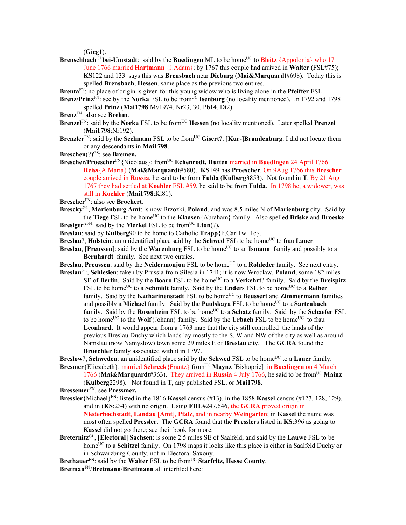(**Gieg1**).

**Brenschbach<sup>GL</sup>bei-Umstadt**: said by the **Buedingen** ML to be home<sup>UC</sup> to **Bleitz** {Appolonia} who 17 June 1766 married **Hartmann** {J.Adam}; by 1767 this couple had arrived in **Walter** (FSL#75); **KS**122 and 133 says this was **Brensbach** near **Dieburg** (**Mai&Marquardt**#698). Today this is spelled **Brensbach**, **Hessen**, same place as the previous two entires.

**Brenta**FN: no place of origin is given for this young widow who is living alone in the **Pfeiffer** FSL.

- **Brenz/Prinz** $F_N$ : see by the **Norka** FSL to be from<sup>UC</sup> **Isenburg** (no locality mentioned). In 1792 and 1798 spelled **Prinz** (**Mai1798**:Mv1974, Nr23, 30, Pb14, Dt2).
- **Brenz**FN: also see **Brehm**.
- **Brenzel**FN: said by the **Norka** FSL to be fromUC **Hessen** (no locality mentioned). Later spelled **Prenzel** (**Mai1798**:Nr192).
- **Brenzler**<sup>FN</sup>: said by the **Seelmann** FSL to be from<sup>UC</sup> Gisert?, [Kur-]Brandenburg. I did not locate them or any descendants in **Mai1798**.
- **Breschen**(?)<sup>GS</sup>: see **Bremen.**
- **Brescher/Proescher**<sup>FN</sup>{Nicolaus}: from<sup>UC</sup> **Echenrodt, Hutten** married in **Buedingen** 24 April 1766 **Reiss**{A.Maria} (**Mai&Marquardt**#580). **KS**149 has **Proescher**. On 9Aug 1766 this **Brescher**  couple arrived in **Russia**, he said to be from **Fulda** (**Kulberg**3853). Not found in **T**. By 21 Aug 1767 they had settled at **Koehler** FSL #59, he said to be from **Fulda**. In 1798 he, a widower, was still in **Koehler** (**Mai1798**:Kl81).
- **Brescher**FN: also see **Brochert**.
- **Brescky**GL, **Marienburg Amt**: is now Brzozki, **Poland**, and was 8.5 miles N of **Marienburg** city. Said by the **Tiege** FSL to be homeUC to the **Klaasen**{Abraham} family. Also spelled **Briske** and **Broeske**. **Bresiger**? $F_N$ : said by the **Merkel** FSL to be from<sup>UC</sup> **Lton**(?).
- **Breslau**: said by **Kulberg**90 to be home to Catholic **Trapp**{F.Carl+w+1c}.
- **Breslau**?, **Holstein**: an unidentified place said by the **Schwed** FSL to be home<sup>UC</sup> to frau **Lauer**.
- **Breslau, [Preussen]:** said by the **Warenburg** FSL to be home<sup>UC</sup> to an **Ismann** family and possibly to a **Bernhardt** family. See next two entries.
- **Breslau, Preussen**: said by the **Neidermonjou** FSL to be home<sup>UC</sup> to a **Rohleder** family. See next entry.
- **Breslau**GL, **Schlesien**: taken by Prussia from Silesia in 1741; it is now Wroclaw, **Poland**, some 182 miles SE of Berlin. Said by the Boaro FSL to be home<sup>UC</sup> to a Verkehrt? family. Said by the Dreispitz FSL to be home<sup>UC</sup> to a **Schmidt** family. Said by the **Enders** FSL to be home<sup>UC</sup> to a **Reiher** family. Said by the **Katharinenstadt** FSL to be home<sup>UC</sup> to **Beussert** and **Zimmermann** families and possibly a Michael family. Said by the **Paulskaya** FSL to be home<sup>UC</sup> to a **Sartenbach** family. Said by the **Rosenheim** FSL to be home<sup>UC</sup> to a **Schatz** family. Said by the **Schaefer** FSL to be home<sup>UC</sup> to the **Wolf**{Johann} family. Said by the **Urbach** FSL to be home<sup>UC</sup> to frau **Leonhard**. It would appear from a 1763 map that the city still controlled the lands of the previous Breslau Duchy which lands lay mostly to the S, W and NW of the city as well as around Namslau (now Namyslow) town some 29 miles E of **Breslau** city. The **GCRA** found the **Bruechler** family associated with it in 1797.

**Breslow?, Schweden:** an unidentified place said by the **Schwed** FSL to be home<sup>UC</sup> to a **Lauer** family. **Bresmer** {Eliesabeth}: married **Schreck** {Frantz} from<sup>UC</sup> **Maynz** [Bishopric] in **Buedingen** on 4 March

1766 (**Mai&Marquardt**#363). They arrived in **Russia** 4 July 1766, he said to be fromUC **Mainz**  (**Kulberg**2298). Not found in **T**, any published FSL, or **Mai1798**.

**Bressemer**FN, see **Pressmer.** 

- **Bressler**{Michael}FN: listed in the 1816 **Kassel** census (#13), in the 1858 **Kassel** census (#127, 128, 129), and in (**KS**:234) with no origin. Using **FHL**#247,646, the **GCRA** proved origin in **Niederhochstadt**, **Landau** [**Amt**], **Pfalz**, and in nearby **Weingarten**; in **Kassel** the name was most often spelled **Pressler**. The **GCRA** found that the **Pressler**s listed in **KS**:396 as going to **Kassel** did not go there; see their book for more.
- **Breternitz**GL, [**Electoral**] **Sachsen**: is some 2.5 miles SE of Saalfeld, and said by the **Lauwe** FSL to be home<sup>UC</sup> to a **Schitzel** family. On 1798 maps it looks like this place is either in Saalfeld Duchy or in Schwarzburg County, not in Electoral Saxony.
- Brethauer<sup>FN</sup>: said by the Walter FSL to be from<sup>UC</sup> Starfritz, Hesse County.

**Bretman**FN/**Bretmann**/**Brettmann** all interfiled here: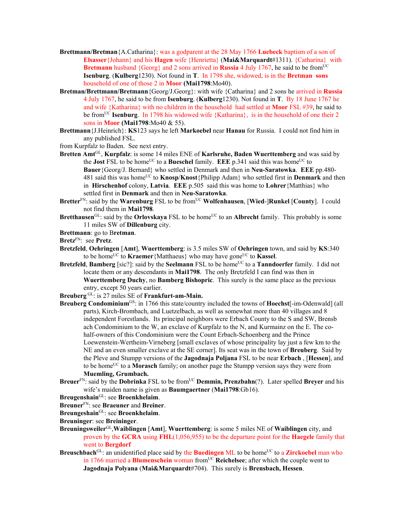- **Brettmann/Bretman**{A.Catharina}: was a godparent at the 28 May 1766 **Luebeck** baptism of a son of **Elsasser**{Johann} and his **Hagen** wife {Henrietta} (**Mai&Marquardt**#1311). {Catharina} with **Bretmann** husband  ${Georg}$  and 2 sons arrived in **Russia** 4 July 1767, he said to be from<sup>UC</sup> **Isenburg**. (**Kulberg**1230). Not found in **T**. In 1798 she, widowed, is in the **Bretman sons**  household of one of those 2 in **Moor (Mai1798**:Mo40).
- **Bretman/Brettmann/Bretmann**{Georg/J.Georg}: with wife {Catharina} and 2 sons he arrived in **Russia** 4 July 1767, he said to be from **Isenburg**. (**Kulberg**1230). Not found in **T**. By 18 June 1767 he and wife {Katharina} with no children in the household had settled at **Moor** FSL #39, he said to be fromUC **Isenburg**. In 1798 his widowed wife {Katharina}, is in the household of one their 2 sons in **Moor (Mai1798**:Mo40 & 55).
- **Brettmann**{J.Heinrich}: **KS**123 says he left **Markoebel** near **Hanau** for Russia. I could not find him in any published FSL.
- from Kurpfalz to Baden. See next entry.
- **Bretten Amt**GL, **Kurpfalz**: is some 14 miles ENE of **Karlsruhe, Baden Wuerttemberg** and was said by the **Jost** FSL to be home<sup>UC</sup> to a **Bueschel** family. **EEE**  $p.341$  said this was home<sup>UC</sup> to **Bauer**{Georg/J. Bernard} who settled in Denmark and then in **Neu-Saratowka**. **EEE** pp.480- 481 said this was homeUC to **Knosp**/**Knost**{Philipp Adam} who settled first in **Denmark** and then in **Hirschenhof** colony, **Latvia**. **EEE** p.505said this was home to **Lohrer**{Matthias} who settled first in **Denmark** and then in **Neu-Saratowka**.
- Bretter<sup>FN</sup>: said by the Warenburg FSL to be from<sup>UC</sup> Wolfenhausen, [Wied-]Runkel [County]. I could not find them in **Mai1798**.
- **Bretthausen**<sup>GL</sup>: said by the **Orlovskaya** FSL to be home<sup>UC</sup> to an **Albrecht** family. This probably is some 11 miles SW of **Dillenburg** city.
- **Brettmann**: go to B**retman**.

**Bretz**FN: see **Pretz**.

- **Bretzfeld**, **Oehringen** [**Amt**], **Wuerttemberg**: is 3.5 miles SW of **Oehringen** town, and said by **KS**:340 to be home<sup>UC</sup> to **Kraemer**{Matthaeus} who may have gone<sup>UC</sup> to **Kassel**.
- **Bretzfeld**, **Bamberg** [sic?]: said by the **Seelmann** FSL to be home<sup>UC</sup> to a **Tanndoerfer** family. I did not locate them or any descendants in **Mai1798**. The only Bretzfeld I can find was then in **Wuerttemberg Duchy**, no **Bamberg Bishopric**. This surely is the same place as the previous entry, except 50 years earlier.
- **Breuberg** GL: is 27 miles SE of **Frankfurt-am-Main.**
- **Breuberg Condominium**GS: in 1766 this state/country included the towns of **Hoechst**[-im-Odenwald] (all parts), Kirch-Brombach, and Luetzelbach, as well as somewhat more than 40 villages and 8 independent Forestlands. Its principal neighbors were Erbach County to the S and SW, Brensb ach Condominium to the W, an exclave of Kurpfalz to the N, and Kurmainz on the E. The cohalf-owners of this Condominium were the Count Erbach-Schoenberg and the Prince Loewenstein-Wertheim-Virneberg [small exclaves of whose principality lay just a few km to the NE and an even smaller exclave at the SE corner]. Its seat was in the town of **Breuberg**. Said by the Pleve and Stumpp versions of the **Jagodnaja Poljana** FSL to be near **Erbach** , [**Hessen**], and to be homeUC to a **Morasch** family; on another page the Stumpp version says they were from **Muemling, Grumbach.**
- **Breuer**<sup>FN</sup>: said by the **Dobrinka** FSL to be from<sup>UC</sup> **Demmin, Prenzbahn**(?). Later spelled **Breyer** and his wife's maiden name is given as **Baumgaertner** (**Mai1798**:Gb16).

**Breugenshain**GL: see **Broenkhelaim**.

- **Breuner**FN: see **Braeuner** and **Breiner**.
- **Breungeshain**GL: see **Broenkhelaim**.

**Breuninger**: see **Breininger**.

- **Breuningsweiler**GL,**Waiblingen** [**Amt**], **Wuerttemberg**: is some 5 miles NE of **Waiblingen** city, and proven by the **GCRA** using **FHL**(1,056,955) to be the departure point for the **Haegele** family that went to **Bergdorf**
- **Breuschbach**<sup>GL</sup>: an unidentified place said by the **Buedingen** ML to be home<sup>UC</sup> to a **Zirckoebel** man who in 1766 married a **Blumenschein** woman from<sup>UC</sup> **Reichelsee**; after which the couple went to **Jagodnaja Polyana** (**Mai&Marquardt**#704). This surely is **Brensbach, Hessen**.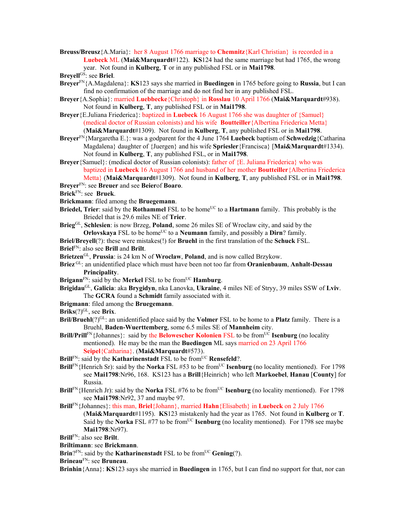**Breuss/Breusz**{A.Maria}: her 8 August 1766 marriage to **Chemnitz**{Karl Christian} is recorded in a **Luebeck** ML (**Mai&Marquardt**#122). **KS**124 had the same marriage but had 1765, the wrong year. Not found in **Kulberg**, **T** or in any published FSL or in **Mai1798**.

**Breyell**GS: see **Briel**.

- **Breyer**FN{A.Magdalena}: **KS**123 says she married in **Buedingen** in 1765 before going to **Russia**, but I can find no confirmation of the marriage and do not find her in any published FSL.
- **Breyer**{A.Sophia}: married **Luebbecke**{Christoph} in **Rosslau** 10 April 1766 (**Mai&Marquardt**#938). Not found in **Kulberg**, **T**, any published FSL or in **Mai1798**.
- **Breyer**{E.Juliana Friederica}: baptized in **Luebeck** 16 August 1766 she was daughter of {Samuel} (medical doctor of Russian colonists) and his wife **Boutteiller**{Albertina Friederica Metta} (**Mai&Marquardt**#1309). Not found in **Kulberg**, **T**, any published FSL or in **Mai1798**.
- **Breyer**FN{Margaretha E.}: was a godparent for the 4 June 1764 **Luebeck** baptism of **Schwedzig**{Catharina Magdalena} daughter of {Juergen} and his wife **Spriesler**{Francisca} [**Mai&Marquardt**#1334). Not found in **Kulberg**, **T**, any published FSL, or in **Mai1798**.
- **Breyer**{Samuel}: (medical doctor of Russian colonists): father of {E. Juliana Friederica} who was baptized in **Luebeck** 16 August 1766 and husband of her mother **Boutteiller**{Albertina Friederica Metta} (**Mai&Marquardt**#1309). Not found in **Kulberg**, **T**, any published FSL or in **Mai1798**.
- **Breyer**FN: see **Breuer** and see **Beier**of **Boaro**.
- **Brick**FN: see **Bruek**.
- **Brickmann**: filed among the **Bruegemann**.
- **Briedel, Trier**: said by the **Rothammel** FSL to be home<sup>UC</sup> to a **Hartmann** family. This probably is the Briedel that is 29.6 miles NE of **Trier**.
- **Brieg**GL, **Schlesien**: is now Brzeg, **Poland**, some 26 miles SE of Wroclaw city, and said by the **Orlovskaya** FSL to be home<sup>UC</sup> to a **Neumann** family, and possibly a **Dirn**? family.
- **Briel/Breyell**(?): these were mistakes(!) for **Bruehl** in the first translation of the **Schuck** FSL. **Briel**FN: also see **Brill** and **Brilt**.
- 
- **Brietzen**GL, **Prussia**: is 24 km N of **Wroclaw**, **Poland**, and is now called Brzykow.
- **Briez** GL: an unidentified place which must have been not too far from **Oranienbaum**, **Anhalt-Dessau Principality**.
- **Brigann**<sup>FN</sup>: said by the **Merkel** FSL to be from<sup>UC</sup> **Hamburg**.
- **Brigidau**GL, **Galicia**: aka **Brygidyn**, nka Lanovka, **Ukraine**, 4 miles NE of Stryy, 39 miles SSW of **Lviv**. The **GCRA** found a **Schmidt** family associated with it.
- **Brigmann**: filed among the **Bruegemann**.
- Briks<sup>(?)GL</sup>, see Brix.
- **Bril/Bruehl**(?)<sup>GL</sup>: an unidentified place said by the **Volmer** FSL to be home to a **Platz** family. There is a Bruehl, **Baden-Wuerttemberg**, some 6.5 miles SE of **Mannheim** city.
- **Brill/Prill<sup>FN</sup>**{Johannes}: said by the **Belowescher Kolonien** FSL to be from<sup>UC</sup> **Isenburg** (no locality mentioned). He may be the man the **Buedingen** ML says married on 23 April 1766 **Seipel**{Catharina}. (**Mai&Marquardt**#573).
- **Brill**<sup>FN</sup>: said by the **Katharinenstadt** FSL to be from<sup>UC</sup> **Rensefeld**?.
- **Brill**FN{Henrich Sr): said by the **Norka** FSL #53 to be from<sup>UC</sup> **Isenburg** (no locality mentioned). For 1798 see **Mai1798**:Nr96, 168. KS123 has a **Brill**{Heinrich} who left **Markoebel**, **Hanau** [**County**] for Russia.
- **Brill**FN{Henrich Jr): said by the **Norka** FSL #76 to be from<sup>UC</sup> **Isenburg** (no locality mentioned). For 1798 see **Mai1798**:Nr92, 37 and maybe 97.
- **Brill**FN{Johannes}: this man, **Briel**{Johann}, married **Hahn**{Elisabeth} in **Luebeck** on 2 July 1766
	- (**Mai&Marquardt**#1195). **KS**123 mistakenly had the year as 1765. Not found in **Kulberg** or **T**. Said by the **Norka** FSL #77 to be from<sup>UC</sup> **Isenburg** (no locality mentioned). For 1798 see maybe **Mai1798**:Nr97).
- **Brill**FN: also see **Brilt**.
- **Briltimann**: see **Brickmann**.
- **Brin**<sup>?FN</sup>: said by the **Katharinenstadt** FSL to be from<sup>UC</sup> **Gening**(?).
- **Brineau**FN: see **Bruneau**.

**Brinhin**{Anna}: **KS**123 says she married in **Buedingen** in 1765, but I can find no support for that, nor can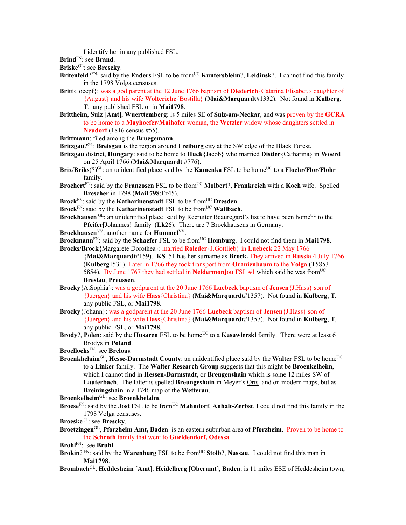I identify her in any published FSL.

**Brind**FN: see **Brand**.

**Briske**GL: see **Brescky**.

- **Britenfeld**?<sup>FN</sup>: said by the **Enders** FSL to be from<sup>UC</sup> **Kuntersbleim**?, **Leidinsk**?. I cannot find this family in the 1798 Volga censuses.
- **Britt**{Jocepf}: was a god parent at the 12 June 1766 baptism of **Diederich**{Catarina Elisabet.} daughter of {August} and his wife **Wolteriche**{Bostilla} (**Mai&Marquardt**#1332). Not found in **Kulberg**, **T**, any published FSL or in **Mai1798**.
- **Brittheim**, **Sulz** [**Amt**], **Wuerttemberg**: is 5 miles SE of **Sulz-am-Neckar**, and was proven by the **GCRA** to be home to a **Mayhoefer**/**Maihofer** woman, the **Wetzler** widow whose daughters settled in **Neudorf** (1816 census #55).
- **Brittmann**: filed among the **Bruegemann**.
- **Britzgau**?GL: **Breisgau** is the region around **Freiburg** city at the SW edge of the Black Forest.
- **Britzgau** district, **Hungary**: said to be home to **Huck**{Jacob} who married **Distler**{Catharina} in **Woerd**  on 25 April 1766 (**Mai&Marquardt** #776).
- **Brix/Briks**(?)<sup>GL</sup>: an unidentified place said by the **Kamenka** FSL to be home<sup>UC</sup> to a **Floehr/Flor/Flohr** family.
- **Brochert**FN: said by the **Franzosen** FSL to be fromUC **Molbert**?, **Frankreich** with a **Koch** wife. Spelled **Brescher** in 1798 (**Mai1798**:Fz45).
- **Brock**<sup>FN</sup>: said by the **Katharinenstadt** FSL to be from<sup>UC</sup> **Dresden**.
- **Brock**<sup>FN</sup>: said by the **Katharinenstadt** FSL to be from<sup>UC</sup> **Wallbach**.
- **Brockhausen** GL: an unidentified place said by Recruiter Beauregard's list to have been home<sup>UC</sup> to the **Pfeifer**[Johannes} family (**Lk**26). There are 7 Brockhausens in Germany.
- **Brockhausen**<sup>VV</sup>: another name for **Hummel**<sup>VV</sup>.
- Brockmann<sup>FN</sup>: said by the Schaefer FSL to be from<sup>UC</sup> Homburg. I could not find them in Mai1798. **Brocks/Brock**{Margarete Dorothea}: married **Roleder**{J.Gottlieb} in **Luebeck** 22 May 1766
	- {**Mai&Marquardt**#159). **KS**151 has her surname as **Brock.** They arrived in **Russia** 4 July 1766 (**Kulberg**1531). Later in 1766 they took transport from **Oranienbaum** to the **Volga** (**T**5853- 5854). By June 1767 they had settled in **Neidermonjou** FSL #1 which said he was from<sup>UC</sup> **Breslau**, **Preussen**.
- **Brocky**{A.Sophia}: was a godparent at the 20 June 1766 **Luebeck** baptism of **Jensen**{J.Hass} son of {Juergen} and his wife **Hass**{Christina} (**Mai&Marquardt**#1357). Not found in **Kulberg**, **T**, any public FSL, or **Mai1798**.
- **Brocky**{Johann}: was a godparent at the 20 June 1766 **Luebeck** baptism of **Jensen**{J.Hass} son of {Juergen} and his wife **Hass**{Christina} (**Mai&Marquardt**#1357). Not found in **Kulberg**, **T**, any public FSL, or **Mai1798**.
- **Brody**?, **Polen**: said by the **Husaren** FSL to be home<sup>UC</sup> to a **Kasawierski** family. There were at least 6 Brodys in **Poland**.
- **Broellochs**FN: see **Breloas**.
- **Broenkhelaim**<sup>GL</sup>, Hesse-Darmstadt County: an unidentified place said by the Walter FSL to be home<sup>UC</sup> to a **Linker** family. The **Walter Research Group** suggests that this might be **Broenkelheim**, which I cannot find in **Hessen-Darmstadt**, or **Breugenshain** which is some 12 miles SW of **Lauterbach**. The latter is spelled **Breungeshain** in Meyer's Orts and on modern maps, but as **Breiningshain** in a 1746 map of the **Wetterau**.

**Broenkelheim**GL: see **Broenkhelaim**.

**Broese**<sup>FN</sup>: said by the **Jost** FSL to be from<sup>UC</sup> **Mahndorf**, **Anhalt-Zerbst**. I could not find this family in the 1798 Volga censuses.

**Broeske**GL: see **Brescky**.

**Broetzingen**GL, **Pforzheim Amt, Baden**: is an eastern suburban area of **Pforzheim**. Proven to be home to the **Schroth** family that went to **Gueldendorf, Odessa**.

**Brohl**FN: see **Bruhl**.

- **Brokin**? FN: said by the **Warenburg** FSL to be from<sup>UC</sup> Stolb?, Nassau. I could not find this man in **Mai1798**.
- **Brombach**GL, **Heddesheim** [**Amt**], **Heidelberg** [**Oberamt**], **Baden**: is 11 miles ESE of Heddesheim town,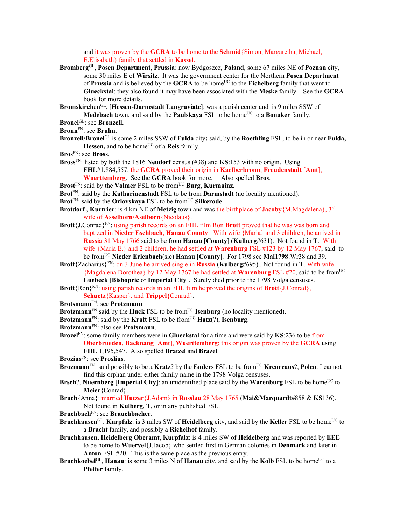and it was proven by the **GCRA** to be home to the **Schmid**{Simon, Margaretha, Michael, E.Elisabeth} family that settled in **Kassel**.

**Bromberg**GL, **Posen Department**, **Prussia**: now Bydgoszcz, **Poland**, some 67 miles NE of **Poznan** city, some 30 miles E of **Wirsitz**. It was the government center for the Northern **Posen Department**  of **Prussia** and is believed by the **GCRA** to be homeUC to the **Eichelberg** family that went to **Glueckstal**; they also found it may have been associated with the **Meske** family. See the **GCRA** book for more details.

**Bromskirchen**GL, [**Hessen-Darmstadt Langraviate**]: was a parish center and is 9 miles SSW of **Medebach** town, and said by the **Paulskaya** FSL to be home<sup>UC</sup> to a **Bonaker** family.

- **Bronel**GL: see **Bronzell.**
- **Bronn**FN: see **Bruhn**.
- **Bronzell/Bronel**GL is some 2 miles SSW of **Fulda** city**;** said, by the **Roethling** FSL, to be in or near **Fulda,**  Hessen, and to be home<sup>UC</sup> of a **Reis** family.
- **Bros**FN: see **Bross**.
- **Bross**FN: listed by both the 1816 **Neudorf** census (#38) and **KS**:153 with no origin. Using **FHL**#1,884,557, the **GCRA** proved their origin in **Kaelberbronn**, **Freudenstadt** [**Amt**], **Wuerttemberg**. See the **GCRA** book for more. Also spelled **Bros**.
- Brost<sup>FN</sup>: said by the **Volmer** FSL to be from<sup>UC</sup> Burg, Kurmainz.
- **Brot**FN: said by the **Katharinenstadt** FSL to be from **Darmstadt** (no locality mentioned).
- **Brot**<sup>FN</sup>: said by the **Orlovskaya** FSL to be from<sup>UC</sup> Silkerode.
- **Brotdorf , Kurtrier**: is 4 km NE of **Metzig** town and was the birthplace of **Jacoby**{M.Magdalena}, 3rd wife of **Asselborn/Aselborn**{Nicolaus}.
- **Brott**{J.Conrad}FN: using parish records on an FHL film Ron **Brott** proved that he was was born and baptized in **Nieder Eschbach**, **Hanau County**. With wife {Maria} and 3 children, he arrived in **Russia** 31 May 1766 said to be from **Hanau** [**County**] (**Kulberg**#631). Not found in **T**. With wife {Maria E.} and 2 children, he had settled at **Warenburg** FSL #123 by 12 May 1767, said to be fromUC **Nieder Erlenbach**(sic) **Hanau** [**County**]. For 1798 see **Mai1798**:Wr38 and 39.
- **Brott**{Zacharius}FN: on 3 June he arrived single in **Russia** (**Kulberg**#695).. Not found in **T**. With wife {Magdalena Dorothea} by 12 May 1767 he had settled at **Warenburg** FSL #20, said to be fromUC **Luebeck** [**Bishopric** or **Imperial City**]. Surely died prior to the 1798 Volga censuses.
- **Brott** $\{Ron\}^{RN}$ : using parish records in an FHL film he proved the origins of **Brott** $\{J.Conrad\}$ ,
	- **Schuetz**{Kasper}, and **Trippel**{Conrad}.
- **Brotsmann**FN: see **Protzmann**.
- **Brotzmann**<sup>FN</sup> said by the **Huck** FSL to be from<sup>UC</sup> **Isenburg** (no locality mentioned).
- **Brotzmann**<sup>FN</sup>: said by the **Kraft** FSL to be from<sup>UC</sup> **Hatz** $(?)$ , **Isenburg**.
- **Brotzmann**FN: also see **Protsmann**.
- **Brozel**FN: some family members were in **Glueckstal** for a time and were said by **KS**:236 to be from **Oberbrueden**, **Backnang** [**Amt**], **Wuerttemberg**; this origin was proven by the **GCRA** using **FHL** 1,195,547. Also spelled **Bratzel** and **Brazel**.
- **Brozius**FN: see **Proslius**.
- **Brozmann**FN: said possibly to be a **Kratz**? by the **Enders** FSL to be fromUC **Krenreaus**?, **Polen**. I cannot find this orphan under either family name in the 1798 Volga censuses.
- **Brsch**?, **Nuernberg** [Imperial City]: an unidentified place said by the **Warenburg** FSL to be home<sup>UC</sup> to **Meier**{Conrad}.
- **Bruch**{Anna}: married **Hutzer**{J.Adam} in **Rosslau** 28 May 1765 (**Mai&Marquardt**#858 & **KS**136). Not found in **Kulberg**, **T**, or in any published FSL.
- **Bruchbach**FN: see **Brauchbacher**.
- **Bruchhausen**<sup>GL</sup>, **Kurpfalz**: is 3 miles SW of **Heidelberg** city, and said by the **Keller** FSL to be home<sup>UC</sup> to a **Bracht** family, and possibly a **Richelhof** family.
- **Bruchhausen, Heidelberg Oberamt, Kurpfalz**: is 4 miles SW of **Heidelberg** and was reported by **EEE** to be home to **Wuervel**{J.Jacob} who settled first in German colonies in **Denmark** and later in **Anton** FSL #20. This is the same place as the previous entry.
- **Bruchkoebel**GL, **Hanau**: is some 3 miles N of **Hanau** city, and said by the Kolb FSL to be home<sup>UC</sup> to a **Pfeifer** family.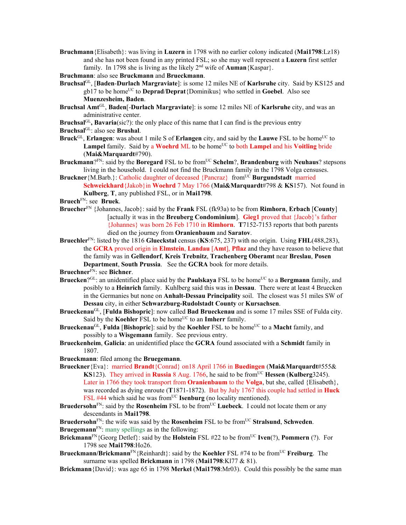**Bruchmann**{Elisabeth}: was living in **Luzern** in 1798 with no earlier colony indicated (**Mai1798**:Lz18) and she has not been found in any printed FSL; so she may well represent a **Luzern** first settler family. In 1798 she is living as the likely 2nd wife of **Auman**{Kaspar}.

**Bruchmann**: also see **Bruckmann** and **Brueckmann**.

- **Bruchsal**GL, [**Baden**-**Durlach Margraviate**]: is some 12 miles NE of **Karlsruhe** city. Said by KS125 and gb17 to be homeUC to **Deprad**/**Deprat**{Dominikus} who settled in **Goebel**. Also see **Muenzesheim, Baden**.
- **Bruchsal Amt**GL, **Baden**[-**Durlach Margraviate**]: is some 12 miles NE of **Karlsruhe** city, and was an administrative center.
- **Bruchsal**<sup>GL</sup>, **Bavaria**(sic?): the only place of this name that I can find is the previous entry
- **Bruchsal**GL: also see **Brushal**.
- **Bruck**<sup>GL</sup>, **Erlangen**: was about 1 mile S of **Erlangen** city, and said by the **Lauwe** FSL to be home<sup>UC</sup> to Lampel family. Said by a Woehrd ML to be home<sup>UC</sup> to both Lampel and his Voitling bride (**Mai&Marquardt**#790).
- **Bruckmann**?<sup>FN</sup>: said by the **Boregard** FSL to be from<sup>UC</sup> Schelm?, **Brandenburg** with **Neuhaus**? stepsons living in the household. I could not find the Bruckmann family in the 1798 Volga censuses.
- **Bruckner**{M.Barb.}: Catholic daughter of deceased {Pancraz} from<sup>UC</sup> **Burgundstadt** married **Schweickhard**{Jakob}in **Woehrd** 7 May 1766 (**Mai&Marquardt**#798 & **KS**157). Not found in

**Kulberg**, **T**, any published FSL, or in **Mai1798**.

**Bruech**FN: see **Bruek**.

- **Bruecher**FN {Johannes, Jacob}: said by the **Frank** FSL (fk93a) to be from **Rimhorn**, **Erbach** [**County**] [actually it was in the **Breuberg Condominium**]. **Gieg1** proved that {Jacob}'s father {Johannes} was born 26 Feb 1710 in **Rimhorn**. **T**7152-7153 reports that both parents died on the journey from **Oranienbaum** and **Saratov**.
- **Bruechler**FN: listed by the 1816 **Glueckstal** census (**KS**:675, 237) with no origin. Using **FHL**(488,283), the **GCRA** proved origin in **Elmstein**, **Landau** [**Amt**], **Pflaz** and they have reason to believe that the family was in **Gellendorf**, **Kreis Trebnitz**, **Trachenberg Oberamt** near **Breslau**, **Posen Department**, **South Prussia**. See the **GCRA** book for more details.

**Bruechner**FN: see **Bichner**.

- **Bruecken**?<sup>GL</sup>: an unidentified place said by the **Paulskaya** FSL to be home<sup>UC</sup> to a **Bergmann** family, and posibly to a **Heinrich** family. Kuhlberg said this was in **Dessau**. There were at least 4 Bruecken in the Germanies but none on **Anhalt-Dessau Principality** soil. The closest was 51 miles SW of **Dessau** city, in either **Schwarzburg-Rudolstadt County** or **Kursachsen**.
- **Brueckenau**GL, [**Fulda Bishopric**]: now called **Bad Brueckenau** and is some 17 miles SSE of Fulda city. Said by the **Koehler** FSL to be home<sup>UC</sup> to an **Imherr** family.
- **Brueckenau<sup>GL</sup>**, **Fulda** [Bishopric]: said by the **Koehler** FSL to be home<sup>UC</sup> to a **Macht** family, and possibly to a **Wisgemann** family. See previous entry.
- **Brueckenheim**, **Galicia**: an unidentified place the **GCRA** found associated with a **Schmidt** family in 1807.
- **Brueckmann**: filed among the **Bruegemann**.
- **Brueckner**{Eva}: married **Brandt**{Conrad} on18 April 1766 in **Buedingen** (**Mai&Marquardt**#555& **KS**123). They arrived in **Russia** 8 Aug. 1766, he said to be from<sup>UC</sup> Hessen (Kulberg3245). Later in 1766 they took transport from **Oranienbaum** to the **Volga**, but she, called {Elisabeth}, was recorded as dying enroute (**T**1871-1872). But by July 1767 this couple had settled in **Huck** FSL #44 which said he was from<sup>UC</sup> **Isenburg** (no locality mentioned).
- **Bruedersohn**<sup>FN</sup>: said by the **Rosenheim** FSL to be from<sup>UC</sup> Luebeck. I could not locate them or any descendants in **Mai1798**.
- **Bruedersohn**<sup>FN</sup>: the wife was said by the **Rosenheim** FSL to be from<sup>UC</sup> **Stralsund**, **Schweden**. **Bruegemann**<sup>FN</sup>: many spellings as in the following:
- **Brickmann**FN{Georg Detlef}: said by the **Holstein** FSL #22 to be fromUC **Iven**(?), **Pommern** (?). For 1798 see **Mai1798**:Ho26.
- **Brueckmann/Brickmann**FN{Reinhardt}: said by the **Koehler** FSL #74 to be fromUC **Freiburg**. The surname was spelled **Brickmann** in 1798 (**Mai1798**:Kl77 & 81).
- **Brickmann**{David}: was age 65 in 1798 **Merkel** (**Mai1798**:Mr03). Could this possibly be the same man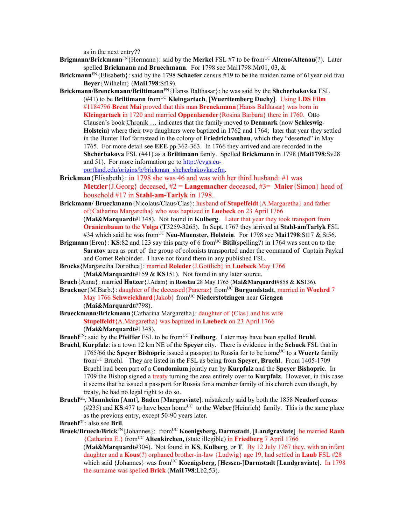as in the next entry??

- **Brigmann/Brickmann**FN{Hermann}: said by the **Merkel** FSL #7 to be fromUC **Alteno/Altenau**(?). Later spelled **Brickmann** and **Bruechmann**. For 1798 see Mai1798:Mr01, 03, &
- **Brickmann**<sup>FN</sup>{Elisabeth}: said by the 1798 **Schaefer** census #19 to be the maiden name of 61year old frau **Beyer**{Wilhelm} (**Mai1798**:Sf19).
- **Brickmann/Brenckmann/Briltimann**FN{Hanss Balthasar}: he was said by the **Shcherbakovka** FSL (#41) to be **Briltimann** fromUC **Kleingartach**, [**Wuerttemberg Duchy**]. Using **LDS Film** #1184796 **Brent Mai** proved that this man **Brenckmann**{Hanss Balthasar} was born in **Kleingartach** in 1720 and married **Oppenlaender**{Rosina Barbara} there in 1760. Otto Clausen's book Chronik … indicates that the family moved to **Denmark** (now **Schleswig**-**Holstein**) where their two daughters were baptized in 1762 and 1764; later that year they settled in the Bunter Hof farmstead in the colony of **Friedrichsanbau**, which they "deserted" in May 1765. For more detail see **EEE** pp.362-363. In 1766 they arrived and are recorded in the **Shcherbakova** FSL (#41) as a **Briltimann** famly. Spelled **Brickmann** in 1798 (**Mai1798**:Sv28 and 51). For more information go to http://cvgs.cuportland.edu/origins/b/brickman\_shcherbakovka.cfm.
- **Brickman**{Elisabeth}: in 1798 she was 46 and was with her third husband: #1 was **Metzler**{J.Georg} deceased, #2 = **Langemacher** deceased, #3= **Maier**{Simon} head of household #17 in **Stahl-am-Tarlyk** in 1798.
- **Brickmann/ Brueckmann**{Nicolaus/Claus/Clas}: husband of **Stupelfeldt**{A.Margaretha} and father of{Catharina Margaretha} who was baptized in **Luebeck** on 23 April 1766 (**Mai&Marquardt**#1348). Not found in **Kulberg**. Later that year they took transport from **Oranienbaum** to the **Volga** (**T**3259-3265). In Sept. 1767 they arrived at **Stahl-amTarlyk** FSL #34 which said he was fromUC **Neu-Muenster, Holstein**. For 1798 see **Mai1798**:St17 & St56.
- **Brigmann**{Eren}: **KS**:82 and 123 say this party of 6 from<sup>UC</sup> **Bitil**(spelling?) in 1764 was sent on to the **Saratov** area as part of the group of colonists transported under the command of Captain Paykul and Cornet Rehbinder. I have not found them in any published FSL.
- **Brocks**{Margaretha Dorothea}: married **Roleder**{J.Gottlieb} in **Luebeck** May 1766 (**Mai&Marquardt**#159 & **KS**151). Not found in any later source.
- **Bruch**{Anna}: married **Hutzer**{J.Adam} in **Rosslau** 28 May 1765 (**Mai&Marquardt**#858 & **KS**136).
- **Bruckner**{M.Barb.}: daughter of the deceased{Pancraz} from<sup>UC</sup> **Burgundstadt**, married in **Woehrd** 7 May 1766 **Schweickhard**{Jakob} fromUC **Niederstotzingen** near **Giengen** (**Mai&Marquardt**#798).
- **Brueckmann/Brickmann**{Catharina Margaretha}: daughter of {Clas} and his wife **Stupelfeldt**{A.Margaretha} was baptized in **Luebeck** on 23 April 1766 (**Mai&Marquardt**#1348).
- **Bruehl**<sup>FN</sup>: said by the **Pfeiffer** FSL to be from<sup>UC</sup> **Freiburg**. Later may have been spelled **Bruhl**.
- **Bruehl**, **Kurpfalz**: is a town 12 km NE of the **Speyer** city. There is evidence in the **Schuck** FSL that in 1765/66 the **Speyer Bishopric** issued a passport to Russia for to be home<sup>UC</sup> to a **Wuertz** family fromUC Bruehl. They are listed in the FSL as being from **Speyer**, **Bruehl**. From 1405-1709 Bruehl had been part of a **Condomium** jointly run by **Kurpfalz** and the **Speyer Bishopric**. In 1709 the Bishop signed a treaty turning the area entirely over to **Kurpfalz**. However, in this case it seems that he issued a passport for Russia for a member family of his church even though, by treaty, he had no legal right to do so.
- **Bruehl**GL, **Mannheim** [**Amt**], **Baden** [**Margraviate**]: mistakenly said by both the 1858 **Neudorf** census  $(\text{\#235})$  and KS:477 to have been home<sup>UC</sup> to the **Weber**{Heinrich} family. This is the same place as the previous entry, except 50-90 years later.
- **Bruehl**GL: also see **Bril**.
- **Bruek/Bruech/Brick**FN{Johannes}: fromUC **Koenigsberg, Darmstadt**, [**Landgraviate**] he married **Rauh** {Catharina E.} fromUC **Altenkirchen,** (state illegible) in **Friedberg** 7 April 1766 (**Mai&Marquardt**#304). Not found in **KS**, **Kulberg**, or **T**. By 12 July 1767 they, with an infant daughter and a **Kous**(?) orphaned brother-in-law {Ludwig} age 19, had settled in **Laub** FSL #28 which said {Johannes} was from<sup>UC</sup> Koenigsberg, [Hessen-]Darmstadt [Landgraviate]. In 1798 the surname was spelled **Brick** (**Mai1798**:Lb2,53).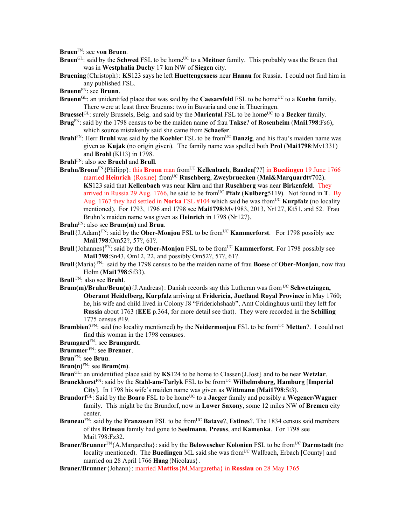**Bruen**FN: see **von Bruen**.

- **Bruen**<sup>GL</sup>: said by the **Schwed** FSL to be home<sup>UC</sup> to a **Meitner** family. This probably was the Bruen that was in **Westphalia Duchy** 17 km NW of **Siegen** city.
- **Bruening**{Christoph}: **KS**123 says he left **Huettengesaess** near **Hanau** for Russia. I could not find him in any published FSL.
- **Bruenn**FN: see **Brunn**.
- **Bruenn**<sup>GL</sup>: an unidentifed place that was said by the **Caesarsfeld** FSL to be home<sup>UC</sup> to a **Kuehn** family. There were at least three Bruenns: two in Bavaria and one in Thueringen.
- **Bruessel**<sup>GL</sup>: surely Brussels, Belg. and said by the **Mariental** FSL to be home<sup>UC</sup> to a **Becker** family.
- **Brug**FN: said by the 1798 census to be the maiden name of frau **Takse**? of **Rosenheim** (**Mai1798**:Fs6), which source mistakenly said she came from **Schaefer**.
- **Bruhl**FN: Herr **Bruhl** was said by the **Koehler** FSL to be from<sup>UC</sup> **Danzig**, and his frau's maiden name was given as **Kujak** (no origin given). The family name was spelled both **Prol** (**Mai1798**:Mv1331) and **Brohl** (Kl13) in 1798.
- **Bruhl**FN: also see **Bruehl** and **Brull**.
- **Bruhn/Bronn**FN{Philipp}: this **Bronn** man fromUC **Kellenbach**, **Baaden**[??] in **Buedingen** 19 June 1766 married **Heinrich** {Rosine} from<sup>UC</sup> **Ruschberg**, **Zweybruecken** (Mai&Marquardt#702). **KS**123 said that **Kellenbach** was near **Kirn** and that **Ruschberg** was near **Birkenfeld**. They arrived in Russia 29 Aug. 1766, he said to be from<sup>UC</sup> **Pfalz** (Kulberg5119). Not found in **T**. By Aug. 1767 they had settled in **Norka** FSL #104 which said he was from<sup>UC</sup> **Kurpfalz** (no locality mentioned). For 1793, 1796 and 1798 see **Mai1798**:Mv1983, 2013, Nr127, Kt51, and 52. Frau Bruhn's maiden name was given as **Heinrich** in 1798 (Nr127).
- **Bruhn**FN: also see **Brum(m)** and **Bruu**.
- **Brull**{J.Adam}<sup>FN</sup>: said by the **Ober-Monjou** FSL to be from<sup>UC</sup> **Kammerforst**. For 1798 possibly see **Mai1798**:Om52?, 57?, 61?.
- **Brull**{Johannes}<sup>FN</sup>: said by the **Ober-Monjou** FSL to be from<sup>UC</sup> **Kammerforst**. For 1798 possibly see **Mai1798**:Sn43, Om12, 22, and possibly Om52?, 57?, 61?.
- **Brull**{Maria}FN: said by the 1798 census to be the maiden name of frau **Boese** of **Ober-Monjou**, now frau Holm (**Mai1798**:Sf33).
- **Brull** FN: also see **Bruhl**.
- **Brum(m)/Bruhn/Brun(n)**{J.Andreas}: Danish records say this Lutheran was from <sup>UC</sup> Schwetzingen, **Oberamt Heidelberg, Kurpfalz** arriving at **Fridericia, Juetland Royal Province** in May 1760; he, his wife and child lived in Colony J8 "Friderichshaab", Amt Coldinghuus until they left for **Russia** about 1763 (**EEE** p.364, for more detail see that). They were recorded in the **Schilling** 1775 census #19.
- **Brumbien**?<sup>FN</sup>: said (no locality mentioned) by the **Neidermonjou** FSL to be from<sup>UC</sup> **Metten**?. I could not find this woman in the 1798 censuses.

**Brumgard**FN: see **Brungardt**.

- **Brummer** FN: see **Brenner**.
- **Brun**FN: see **Bruu**.
- **Brun(n)**FN: see **Brum(m)**.
- **Brun**GL: an unidentified place said by **KS**124 to be home to Classen{J.Jost} and to be near **Wetzlar**.
- Brunckhorst<sup>FN</sup>: said by the Stahl-am-Tarlyk FSL to be from<sup>UC</sup> Wilhelmsburg, Hamburg [Imperial **City**]. In 1798 his wife's maiden name was given as **Wittmann** (**Mai1798**:St3).
- **Brundorf**GL: Said by the **Boaro** FSL to be home<sup>UC</sup> to a **Jaeger** family and possibly a **Wegener/Wagner** family. This might be the Brundorf, now in **Lower Saxony**, some 12 miles NW of **Bremen** city center.
- **Bruneau**<sup>FN</sup>: said by the **Franzosen** FSL to be from<sup>UC</sup> **Batave**?, **Estines**?. The 1834 census said members of this **Brineau** family had gone to **Seelmann**, **Preuss**, and **Kamenka**. For 1798 see Mai1798:Fz32.
- **Bruner/Brunner**<sup>FN</sup>{A.Margaretha}: said by the **Belowescher Kolonien** FSL to be from<sup>UC</sup> **Darmstadt** (no locality mentioned). The **Buedingen** ML said she was from<sup>UC</sup> Wallbach, Erbach [County] and married on 28 April 1766 **Haag**{Nicolaus}.
- **Bruner/Brunner**{Johann}: married **Mattiss**{M.Margaretha} in **Rosslau** on 28 May 1765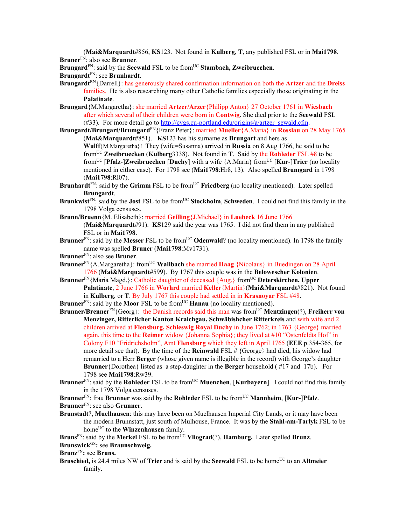(**Mai&Marquardt**#856, **KS**123. Not found in **Kulberg**, **T**, any published FSL or in **Mai1798**. **Bruner**FN: also see **Brunner**.

**Brungard**FN: said by the **Seewald** FSL to be fromUC **Stambach, Zweibruechen**.

**Brungardt**FN: see **Brunhardt**.

- **Brungardt**RN{Darrell}: has generously shared confirmation information on both the **Artzer** and the **Dreiss**  families. He is also researching many other Catholic families especially those originating in the **Palatinate**.
- **Brungard**{M.Margaretha}: she married **Artzer/Arzer**{Philipp Anton} 27 October 1761 in **Wiesbach** after which several of their children were born in **Contwig**. She died prior to the **Seewald** FSL (#33). For more detail go to http://cvgs.cu-portland.edu/origins/a/artzer\_sewald.cfm.
- **Brungardt/Brungart/Brumgard**FN{Franz Peter}: married **Mueller**{A.Maria} in **Rosslau** on 28 May 1765 (**Mai&Marquardt**#851). **KS**123 has his surname as **Brungart** and hers as

**Wulff**{M.Margaretha}! They (wife=Susanna) arrived in **Russia** on 8 Aug 1766, he said to be fromUC **Zweibruecken** (**Kulberg**3338). Not found in **T**. Said by the **Rohleder** FSL #8 to be fromUC [**Pfalz**-]**Zweibruechen** [**Duchy**] with a wife {A.Maria} fromUC [**Kur**-]**Trier** (no locality mentioned in either case). For 1798 see (**Mai1798**:Hr8, 13). Also spelled **Brumgard** in 1798 (**Mai1798**:Rl07).

- **Brunhardt**<sup>FN</sup>: said by the Grimm FSL to be from<sup>UC</sup> Friedberg (no locality mentioned). Later spelled **Brungardt**.
- **Brunkwist**<sup>FN</sup>: said by the **Jost** FSL to be from<sup>UC</sup> **Stockholm**, **Schweden**. I could not find this family in the 1798 Volga censuses.
- **Brunn/Bruenn**{M. Elisabeth}: married **Geilling**{J.Michael} in **Luebeck** 16 June 1766 (**Mai&Marquardt**#91). **KS**129 said the year was 1765. I did not find them in any published FSL or in **Mai1798**.
- **Brunner**<sup>FN</sup>: said by the **Messer** FSL to be from<sup>UC</sup> **Odenwald**? (no locality mentioned). In 1798 the family name was spelled **Bruner** (**Mai1798**:Mv1731).
- **Brunner**FN: also see **Bruner**.
- **Brunner**FN{A.Margaretha}: fromUC **Wallbach** she married **Haag** {Nicolaus} in Buedingen on 28 April 1766 (**Mai&Marquardt**#599). By 1767 this couple was in the **Belowescher Kolonien**.

**Brunner**<sup>FN</sup>{Maria Magd.}: Catholic daughter of deceased {Aug.} from<sup>UC</sup> Deterskirchen, Upper **Palatinate**, 2 June 1766 in **Worhrd** married **Keller**{Martin}(**Mai&Marquardt**#821). Not found in **Kulberg**, or **T**. By July 1767 this couple had settled in in **Krasnoyar** FSL #48.

- **Brunner**<sup>FN</sup>: said by the **Moor** FSL to be from<sup>UC</sup> **Hanau** (no locality mentioned).
- **Brunner/Brenner**FN{Georg}: the Danish records said this man was fromUC **Mentzingen**(?), **Freiherr von Menzinger, Ritterlicher Kanton Kraichgau, Schwäbishcher Ritterkreis** and with wife and 2 children arrived at **Flensburg, Schleswig Royal Duchy** in June 1762; in 1763 {George} married again, this time to the **Reimer** widow {Johanna Sophia}; they lived at #10 "Ostenfeldts Hof" in Colony F10 "Fridrichsholm", Amt **Flensburg** which they left in April 1765 (**EEE** p.354-365, for more detail see that). By the time of the **Reinwald** FSL # {George} had died, his widow had remarried to a Herr **Berger** (whose given name is illegible in the record) with George's daughter **Brunner**{Dorothea} listed as a step-daughter in the **Berger** household ( #17 and 17b). For 1798 see **Mai1798**:Rw39.
- **Brunner**<sup>FN</sup>: said by the **Rohleder** FSL to be from<sup>UC</sup> **Muenchen**, [**Kurbayern**]. I could not find this family in the 1798 Volga censuses.
- **Brunner**<sup>FN</sup>: frau **Brunner** was said by the **Rohleder** FSL to be from<sup>UC</sup> **Mannheim**, [**Kur-**]Pfalz.

**Brunner**FN: see also **Grunner**.

- **Brunstadt**?, **Muelhausen**: this may have been on Muelhausen Imperial City Lands, or it may have been the modern Brunnstatt, just south of Mulhouse, France. It was by the **Stahl-am-Tarlyk** FSL to be home<sup>UC</sup> to the **Winzenhausen** family.
- **Bruns**<sup>FN</sup>: said by the **Merkel** FSL to be from<sup>UC</sup> Vliograd(?), **Hamburg.** Later spelled **Brunz**.

**Brunswick**<sup>GS</sup>: see **Braunschweig.** 

- **Brunz**FN**:** see **Bruns.**
- **Bruschied,** is 24.4 miles NW of **Trier** and is said by the **Seewald** FSL to be home<sup>UC</sup> to an **Altmeier** family.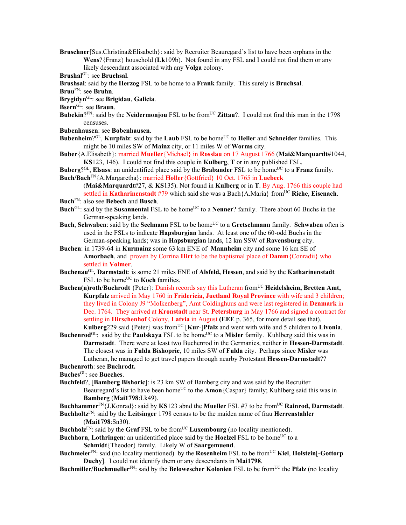- **Bruschner**[Sus.Christina&Elisabeth}: said by Recruiter Beauregard's list to have been orphans in the **Wens**?{Franz} household (**Lk**109b). Not found in any FSL and I could not find them or any likely descendant associated with any **Volga** colony.
- **Brushal**GL: see **Bruchsal**.
- **Brushsal**: said by the **Herzog** FSL to be home to a **Frank** family. This surely is **Bruchsal**.
- **Bruu**FN: see **Bruhn**.
- **Brygidyn**GL: see **Brigidau**, **Galicia**.
- **Bsern**GL: see **Braun**.
- **Bubekin**?<sup>FN</sup>: said by the **Neidermonjou** FSL to be from<sup>UC</sup> **Zittau**?. I could not find this man in the 1798 censuses.
- **Bubenhausen**: see **Bobenhausen**.
- **Bubenheim**?<sup>GL</sup>, **Kurpfalz**: said by the **Laub** FSL to be home<sup>UC</sup> to **Heller** and **Schneider** families. This might be 10 miles SW of **Mainz** city, or 11 miles W of **Worms** city.
- **Buber**{A.Elisabeth}: married **Mueller**{Michael} in **Rosslau** on 17 August 1766 (**Mai&Marquardt**#1044, **KS**123, 146). I could not find this couple in **Kulberg**, **T** or in any published FSL.
- **Buberg**?GL, **Elsass**: an unidentified place said by the **Brabander** FSL to be homeUC to a **Franz** family. **Buch/Bach**FN{A.Margaretha}: married **Holler**{Gottfried} 10 Oct. 1765 in **Luebeck**
	- (**Mai&Marquardt**#27, & **KS**135). Not found in **Kulberg** or in **T**. By Aug. 1766 this couple had settled in **Katharinenstadt** #79 which said she was a Bach{A.Maria} fromUC **Riche**, **Eisenach**.
- **Buch**FN: also see **Bebech** and **Busch**.
- **Buch**<sup>GL</sup>: said by the **Susannental** FSL to be home<sup>UC</sup> to a **Nenner**? family. There about 60 Buchs in the German-speaking lands.
- **Buch, Schwaben:** said by the **Seelmann** FSL to be home<sup>UC</sup> to a **Gretschmann** family. **Schwaben** often is used in the FSLs to indicate **Hapsburgian** lands. At least one of the 60-odd Buchs in the German-speaking lands; was in **Hapsburgian** lands, 12 km SSW of **Ravensburg** city.
- **Buchen**: in 1739-64 in **Kurmainz** some 63 km ENE of **Mannheim** city and some 16 km SE of **Amorbach**, and proven by Corrina **Hirt** to be the baptismal place of **Damm**{Conradii} who settled in **Volmer**.
- **Buchenau**GL**, Darmstadt**: is some 21 miles ENE of **Alsfeld, Hessen**, and said by the **Katharinenstadt** FSL to be home<sup>UC</sup> to **Koch** families.
- **Buchen(n)roth/Buchrodt** {Peter}: Danish records say this Lutheran from<sup>UC</sup> Heidelsheim, Bretten Amt, **Kurpfalz** arrived in May 1760 in **Fridericia, Juetland Royal Province** with wife and 3 children; they lived in Colony J9 "Molkenberg", Amt Coldinghuus and were last registered in **Denmark** in Dec. 1764. They arrived at **Kronstadt** near St. **Petersburg** in May 1766 and signed a contract for settling in **Hirschenhof** Colony, **Latvia** in August **(EEE** p. 365, for more detail see that). Kulberg<sub>229</sub> said {Peter} was from<sup>UC</sup> [Kur-]Pfalz and went with wife and 5 children to **Livonia**.
- **Buchenrod**<sup>GL</sup>: said by the **Paulskaya** FSL to be home<sup>UC</sup> to a **Misler** family. Kuhlberg said this was in **Darmstadt**. There were at least two Buchenrod in the Germanies, neither in **Hessen-Darmstadt**. The closest was in **Fulda Bishopric**, 10 miles SW of **Fulda** city. Perhaps since **Misler** was Lutheran, he managed to get travel papers through nearby Protestant **Hessen-Darmstadt**??
- **Buchenroth**: see **Buchrodt.**
- **Buches**GL: see **Bueches**.
- **Buchfeld**?, [**Bamberg Bishoric**]: is 23 km SW of Bamberg city and was said by the Recruiter Beauregard's list to have been home<sup>UC</sup> to the **Amon** {Caspar} family; Kuhlberg said this was in **Bamberg** (**Mai1798**:Lk49).

**Buchhammer**FN{J.Konrad}: said by **KS**123 abnd the **Mueller** FSL #7 to be fromUC **Rainrod, Darmstadt**.

- **Buchholtz**FN: said by the **Leitsinger** 1798 census to be the maiden name of frau **Herrenstahler** (**Mai1798**:Sn30).
- **Buchholz**<sup>FN</sup>: said by the **Graf** FSL to be from<sup>UC</sup> **Luxembourg** (no locality mentioned).
- **Buchhorn, Lothringen**: an unidentified place said by the **Hoelzel** FSL to be home<sup>UC</sup> to a **Schmidt**{Theodor} family. Likely W of **Saargemuend**.
- **Buchmeier**<sup>FN</sup>: said (no locality mentioned) by the **Rosenheim** FSL to be from<sup>UC</sup> **Kiel**, **Holstein**[-**Gottorp Duchy**]. I could not identify them or any descendants in **Mai1798**.
- **Buchmiller/Buchmueller**<sup>FN</sup>: said by the **Belowescher Kolonien** FSL to be from<sup>UC</sup> the **Pfalz** (no locality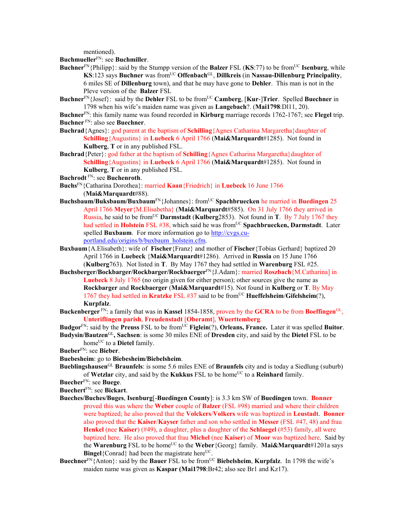mentioned).

**Buchmueller**FN: see **Buchmiller**.

- **Buchner**<sup>FN</sup>{Philipp}: said by the Stumpp version of the **Balzer** FSL (**KS**:77) to be from<sup>UC</sup> **Isenburg**, while **KS**:123 says **Buchner** was fromUC **Offenbach**GL, **Dillkreis** (in **Nassau-Dillenburg Principality**, 6 miles SE of **Dillenburg** town), and that he may have gone to **Dehler**. This man is not in the Pleve version of the **Balzer** FSL
- **Buchner**<sup>FN</sup>{Josef}: said by the **Dehler** FSL to be from<sup>UC</sup> **Camberg**, [Kur-]Trier. Spelled Buechner in 1798 when his wife's maiden name was given as **Langebach**?. (**Mai1798**:Dl11, 20).

**Buchner**FN: this family name was found recorded in **Kirburg** marriage records 1762-1767; see **Flegel** trip. **Buchner** FN: also see **Buechner**.

- **Buchrad**{Agnes}: god parent at the baptism of **Schilling**{Agnes Catharina Margaretha}daughter of **Schilling**{Augustins} in **Luebeck** 6 April 1766 (**Mai&Marquardt**#1285). Not found in **Kulberg**, **T** or in any published FSL.
- **Buchrad** {Peter}: god father at the baptism of **Schilling** {Agnes Catharina Margaretha}daughter of **Schilling**{Augustins} in **Luebeck** 6 April 1766 (**Mai&Marquardt**#1285). Not found in **Kulberg**, **T** or in any published FSL.
- **Buchrodt** FN: see **Buchenroth**.
- **Buchs**FN{Catharina Dorothea}: married **Kaan**{Friedrich} in **Luebeck** 16 June 1766 (**Mai&Marquardt**#88).
- **Buchsbaum/Buksbaum/Buxbaum**FN{Johannes}: fromUC **Spachbruecken** he married in **Buedingen** 25 April 1766 **Meyer**{M.Elisabetha} (**Mai&Marquardt**#585). On 31 July 1766 they arrived in Russia, he said to be fromUC **Darmstadt** (**Kulberg**2853). Not found in **T**. By 7 July 1767 they had settled in Holstein FSL #38, which said he was from<sup>UC</sup> Spachbruecken, Darmstadt. Later spelled **Buxbaum**. For more information go to http://cvgs.cuportland.edu/origins/b/buxbaum\_holstein.cfm.
- **Buxbaum**{A.Elisabeth}: wife of **Fischer**{Franz} and mother of **Fischer**{Tobias Gerhard} baptized 20 April 1766 in **Luebeck** {**Mai&Marquardt**#1286). Arrived in **Russia** on 15 June 1766 (**Kulberg**763). Not listed in **T**. By May 1767 they had settled in **Warenburg** FSL #25.
- **Buchsberger/Bockbarger/Rockbarger/Rockbaerger**FN{J.Adam}: married **Roszbach**{M.Catharina] in **Luebeck** 8 July 1765 (no origin given for either person); other sources give the name as **Rockbarger** and **Rockbaerger** (**Mai&Marquardt**#15). Not found in **Kulberg** or **T**. By May 1767 they had settled in **Kratzke** FSL #37 said to be fromUC **Hueffelsheim**/**Gifelsheim**(?), **Kurpfalz**.
- **Buckenberger** FN: a family that was in **Kassel** 1854-1858, proven by the **GCRA** to be from **Boeffingen**GL, **Unteriflingen parish**, **Freudenstadt** [**Oberamt**], **Wuerttemberg**.
- **Budgor**FN: said by the **Preuss** FSL to be fromUC **Figlein**(?), **Orleans, France.** Later it was spelled **Buitor**.
- **Budysin/Bautzen**GL**, Sachsen**: is some 30 miles ENE of **Dresden** city, and said by the **Dietel** FSL to be home<sup>UC</sup> to a **Dietel** family.
- **Bueber**FN: see **Bieber**.
- **Buebesheim**: go to **Biebesheim/Biebelsheim**.
- **Bueblingshausen**GL **Braunfels**: is some 5.6 miles ENE of **Braunfels** city and is today a Siedlung (suburb) of Wetzlar city, and said by the Kukkus FSL to be home<sup>UC</sup> to a Reinhard family.
- **Buecher**FN: see **Buege**.
- **Buechert**FN: see **Bickart**.
- **Bueches/Buches/Buges**, **Isenburg**[-**Buedingen County**]: is 3.3 km SW of **Buedingen** town. **Bonner** proved this was where the **Weber** couple of **Balzer** (FSL #98) married and where their children were baptized; he also proved that the **Volckers**/**Volkers** wife was baptized in **Leustadt**. **Bonner**  also proved that the **Kaiser**/**Kayser** father and son who settled in **Messer** (FSL #47, 48) and frau **Henkel** (nee **Kaiser**) (#49), a daughter, plus a daughter of the **Schlaegel** (#53) family, all were baptized here. He also proved that frau **Michel** (nee **Kaiser**) of **Moor** was baptized here. Said by the **Warenburg** FSL to be home<sup>UC</sup> to the **Weber**{Georg} family. **Mai&Marquardt**#1201a says **Bingel**<sup>{</sup>Conrad} had been the magistrate here<sup>UC</sup>.
- **Buechner**<sup>FN</sup>{Anton}: said by the **Bauer** FSL to be from<sup>UC</sup> **Biebelsheim, Kurpfalz**. In 1798 the wife's maiden name was given as **Kaspar (Mai1798**:Br42; also see Br1 and Kz17).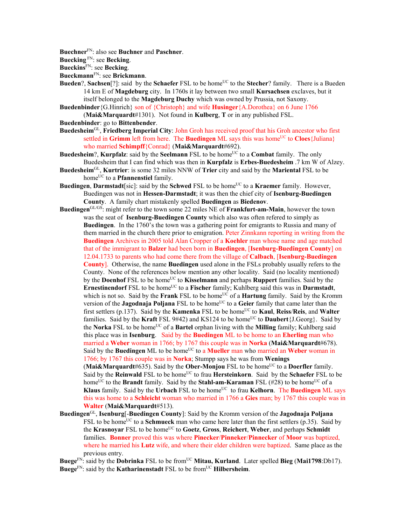**Buechner**FN: also see **Buchner** and **Paschner**.

**Buecking** FN: see **Becking**.

**Bueckins**FN: see **Becking**.

**Bueckmann**FN: see **Brickmann**.

- **Bueden**?, **Sachsen**[?]: said by the **Schaefer** FSL to be home<sup>UC</sup> to the **Stecher**? family. There is a Bueden 14 km E of **Magdeburg** city. In 1760s it lay between two small **Kursachsen** exclaves, but it itself belonged to the **Magdeburg Duchy** which was owned by Prussia, not Saxony.
- **Buedenbinder**{G.Hinrich} son of {Christoph} and wife **Husinger**{A.Dorothea} on 6 June 1766 (**Mai&Marquardt**#1301). Not found in **Kulberg**, **T** or in any published FSL.

**Buedenbinder**: go to **Bittenbender**.

- **Buedesheim**GL, **Friedberg Imperial City**: John Groh has received proof that his Groh ancestor who first settled in **Grimm** left from here. The **Buedingen** ML says this was home<sup>UC</sup> to **Cloes**{Juliana} who married **Schimpff**{Conrad} (**Mai&Marquardt**#692).
- **Buedesheim?, Kurpfalz**: said by the **Seelmann** FSL to be home<sup>UC</sup> to a **Combat** family. The only Buedesheim that I can find which was then in **Kurpfalz** is **Erbes-Buedesheim** .7 km W of Alzey.
- **Buedesheim**GL, **Kurtrier**: is some 32 miles NNW of **Trier** city and said by the **Mariental** FSL to be home<sup>UC</sup> to a **Pfannenstiel** family.
- **Buedingen, Darmstadt**[sic]: said by the **Schwed** FSL to be home<sup>UC</sup> to a **Kraemer** family. However, Buedingen was not in **Hessen-Darmstadt**; it was then the chief city of **Isenburg-Buedingen County**. A family chart mistakenly spelled **Buedingen** as **Biedenov**.
- **Buedingen**GL/GS: might refer to the town some 22 miles NE of **Frankfurt-am-Main**, however the town was the seat of **Isenburg-Buedingen County** which also was often refered to simply as **Buedingen**.In the 1760's the town was a gathering point for emigrants to Russia and many of them married in the church there prior to emigration. Peter Zinnkann reporting in writing from the **Buedingen** Archives in 2005 told Alan Cropper of a **Koehler** man whose name and age matched that of the immigrant to **Balzer** had been born in **Buedingen**, [**Isenburg-Buedingen County**] on 12.04.1733 to parents who had come there from the village of **Calbach**, [**Isenburg-Buedingen County**]. Otherwise, the name **Buedingen** used alone in the FSLs probably usually refers to the County. None of the references below mention any other locality. Said (no locality mentioned) by the **Doenhof** FSL to be home<sup>UC</sup> to **Kisselmann** and perhaps **Ruppert** families. Said by the Ernestinendorf FSL to be home<sup>UC</sup> to a Fischer family; Kuhlberg said this was in Darmstadt, which is not so. Said by the **Frank** FSL to be home<sup>UC</sup> of a **Hartung** family. Said by the Kromm version of the **Jagodnaja Poljana** FSL to be home<sup>UC</sup> to a **Geier** family that came later than the first settlers (p.137). Said by the **Kamenka** FSL to be home<sup>UC</sup> to **Kaul**, **Reiss/Reis**, and **Walter** families. Said by the **Kraft** FSL 9#42) and KS124 to be home<sup>UC</sup> to **Daubert**{J.Georg}. Said by the **Norka** FSL to be homeUC of a **Bartel** orphan living with the **Milling** family; Kuhlberg said this place was in **Isenburg**. Said by the **Buedingen** ML to be home to an **Eherling** man who married a **Weber** woman in 1766; by 1767 this couple was in **Norka** (**Mai&Marquardt**#678). Said by the **Buedingen** ML to be home<sup>UC</sup> to a **Mueller** man who married an Weber woman in 1766; by 1767 this couple was in **Norka**; Stumpp says he was from **Wenings (Mai&Marquardt**#635). Said by the **Ober-Monjou** FSL to be home<sup>UC</sup> to a **Doerfler** family. Said by the **Reinwald** FSL to be home<sup>UC</sup> to frau **Hersteinkorn**. Said by the **Schaefer** FSL to be

home<sup>UC</sup> to the **Brandt** family. Said by the **Stahl-am-Karaman** FSL (#28) to be home<sup>UC</sup> of a **Klaus** family. Said by the **Urbach** FSL to be home<sup>UC</sup> to frau **Kelhorn**. The **Buedingen** ML says this was home to a **Schleicht** woman who married in 1766 a **Gies** man; by 1767 this couple was in **Walter** (**Mai&Marquardt**#513).

**Buedingen**GL, **Isenburg**[-**Buedingen County**]: Said by the Kromm version of the **Jagodnaja Poljana** FSL to be home<sup>UC</sup> to a **Schmueck** man who came here later than the first settlers (p.35). Said by the **Krasnoyar** FSL to be homeUC to **Goetz**, **Gross**, **Reichert**, **Weber**, and perhaps **Schmidt** families. **Bonner** proved this was where **Pinecker**/**Pinneker**/**Pinnecker** of **Moor** was baptized, where he married his **Lutz** wife, and where their elder children were baptized. Same place as the previous entry.

**Buege**FN: said by the **Dobrinka** FSL to be fromUC **Mitau, Kurland**. Later spelled **Bieg** (**Mai1798**:Db17). **Buege**FN: said by the **Katharinenstadt** FSL to be fromUC **Hilbersheim**.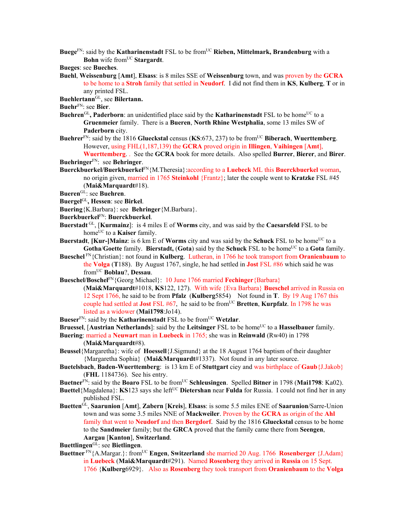- **Buege**<sup>FN</sup>: said by the **Katharinenstadt** FSL to be from<sup>UC</sup> **Rieben, Mittelmark, Brandenburg** with a **Bohn** wife from<sup>UC</sup> Stargardt.
- **Bueges**: see **Bueches**.
- **Buehl**, **Weissenburg** [**Amt**], **Elsass**: is 8 miles SSE of **Weissenburg** town, and was proven by the **GCRA** to be home to a **Stroh** family that settled in **Neudorf**. I did not find them in **KS**, **Kulberg**, **T** or in any printed FSL.
- **Buehlertann**GL, see **Bilertann.**

**Buehr**FN: see **Bier**.

- **Buehren**<sup>GL</sup>, Paderborn: an unidentified place said by the **Katharinenstadt** FSL to be home<sup>UC</sup> to a **Gruenmeier** family. There is a **Bueren**, **North Rhine Westphalia**, some 13 miles SW of **Paderborn** city.
- **Buehrer**FN: said by the 1816 **Glueckstal** census (**KS**:673, 237) to be fromUC **Biberach**, **Wuerttemberg**. However, using FHL(1,187,139) the **GCRA** proved origin in **Illingen**, **Vaihingen** [**Amt**],
- **Wuerttemberg**. . See the **GCRA** book for more details. Also spelled **Burrer**, **Bierer**, and **Birer**. **Buehringer**FN: see **Behringer**.
- **Buerckbuerkel/Buerkbuerkel**FN{M.Theresia}:according to a **Luebeck** ML this **Buerckbuerkel** woman, no origin given, married in 1765 **Steinkohl** {Frantz}; later the couple went to **Kratzke** FSL #45 (**Mai&Marquardt**#18).
- **Bueren**GL: see **Buehren**.
- **Buergel**GL**, Hessen**: see **Birkel**.
- **Buering**{K.Barbara}: see **Behringer**{M.Barbara}.
- **Buerkbuerkel**FN: **Buerckbuerkel**.
- **Buerstadt** GL, [**Kurmainz**]: is 4 miles E of **Worms** city, and was said by the **Caesarsfeld** FSL to be home<sup>UC</sup> to a **Kaiser** family.
- **Buerstadt**, **[Kur-]Mainz**: is 6 km E of **Worms** city and was said by the **Schuck** FSL to be home<sup>UC</sup> to a **Gotha/Goette** family. **Bierstadt, (Gota**) said by the **Schuck** FSL to be home<sup>UC</sup> to a Gota family.
- **Bueschel** FN{Christian}: not found in **Kulberg**. Lutheran, in 1766 he took transport from **Oranienbaum** to the **Volga** (**T**188). By August 1767, single, he had settled in **Jost** FSL #86 which said he was fromUC **Boblau**?, **Dessau**.
- **Bueschel/Boschel**FN{Georg Michael}: 10 June 1766 married **Fechinger**{Barbara}
	- (**Mai&Marquardt**#1018, **KS**122, 127). With wife {Eva Barbara} **Bueschel** arrived in Russia on 12 Sept 1766, he said to be from **Pfalz** (**Kulberg**5854) Not found in **T**. By 19 Aug 1767 this couple had settled at **Jost** FSL #67, he said to be fromUC **Bretten**, **Kurpfalz**. In 1798 he was listed as a widower (**Mai1798**:Jo14).
- **Bueser**<sup>FN</sup>: said by the **Katharinenstadt** FSL to be from<sup>UC</sup> Wetzlar.
- **Bruessel**, [**Austrian Netherlands**]: said by the **Leitsinger** FSL to be home<sup>UC</sup> to a **Hasselbauer** family. **Buering**: married a **Neuwart** man in **Luebeck** in 1765; she was in **Reinwald** (Rw40) in 1798
	- (**Mai&Marquardt**#8).
- **Beussel**{Margaretha}: wife of **Hoessell**{J.Sigmund} at the 18 August 1764 baptism of their daughter {Margaretha Sophia} (**Mai&Marquardt**#1337). Not found in any later source.
- **Buetelsbach**, **Baden-Wuerttemberg**: is 13 km E of **Stuttgart** ciey and was birthplace of **Gaub**{J.Jakob} (**FHL** 1184736). See his entry.
- **Buetner**FN: said by the **Boaro** FSL to be fromUC **Schleusingen**. Spelled **Bitner** in 1798 (**Mai1798**: Ka02).
- **Buettel**{Magdalena}: **KS**123 says she left<sup>UC</sup> **Dietershan** near **Fulda** for Russia. I could not find her in any published FSL.
- **Buetten**GL, **Saarunion** [**Amt**], **Zabern** [**Kreis**], **Elsass**: is some 5.5 miles ENE of **Saarunion**/Sarre-Union town and was some 3.5 miles NNE of **Mackweiler**. Proven by the **GCRA** as origin of the **Ahl** family that went to **Neudorf** and then **Bergdorf**. Said by the 1816 **Glueckstal** census to be home to the **Sandmeier** family; but the **GRCA** proved that the family came there from **Seengen**, **Aargau** [**Kanton**], **Switzerland**.

**Buettlingen**GL: see **Bietlingen**.

**Buettner** FN{A.Margar.}: fromUC **Engen**, **Switzerland** she married 20 Aug. 1766 **Rosenberger** {J.Adam} in **Luebeck** (**Mai&Marquardt**#291). Named **Rosenberg** they arrived in **Russia** on 15 Sept. 1766 {**Kulberg**6929}. Also as **Rosenberg** they took transport from **Oranienbaum** to the **Volga**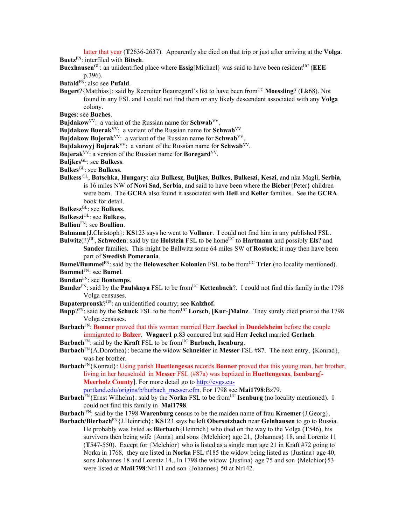latter that year (**T**2636-2637). Apparently she died on that trip or just after arriving at the **Volga**. **Buetz**FN: interfiled with **Bitsch**.

**Buexhausen**<sup>GL</sup>: an unidentified place where **Essig**[Michael] was said to have been resident<sup>UC</sup> (**EEE**) p.396).

**Bufald**FN: also see **Pufald**.

**Bugert**?{Matthias}: said by Recruiter Beauregard's list to have been fromUC **Moessling**? (**Lk**68). Not found in any FSL and I could not find them or any likely descendant associated with any **Volga** colony.

**Buges**: see **Buches**.

**Bujdakow**<sup>VV</sup>: a variant of the Russian name for **Schwab**<sup>VV</sup>.

**Bujdakow Buerak**<sup>VV</sup>: a variant of the Russian name for Schwab<sup>VV</sup>.

**Bujdakow Bujerak**VV: a variant of the Russian name for **Schwab**VV.

**Bujdakowyj Bujerak**VV: a variant of the Russian name for **Schwab**VV.

**Bujerak**VV: a version of the Russian name for **Boregard**VV.

- **Buljkes**GL: see **Bulkess**.
- **Bulkes**GL: see **Bulkess**.
- **Bulkess** GL, **Batschka**, **Hungary**: aka **Bulkesz**, **Buljkes**, **Bulkes**, **Bulkeszi**, **Keszi**, and nka Magli, **Serbia**, is 16 miles NW of **Novi Sad**, **Serbia**, and said to have been where the **Bieber**{Peter} children were born. The **GCRA** also found it associated with **Heil** and **Keller** families. See the **GCRA** book for detail.

**Bulkesz**GL: see **Bulkess**.

**Bulkeszi**GL: see **Bulkess**.

- **Bullion**FN: see **Boullion**.
- **Bulmann**{J.Christoph}: **KS**123 says he went to **Vollmer**. I could not find him in any published FSL.
- **Bulwitz**(?)<sup>GL</sup>, **Schweden**: said by the **Holstein** FSL to be home<sup>UC</sup> to **Hartmann** and possibly **Els**? and **Sander** families. This might be Ballwitz some 64 miles SW of **Rostock**; it may then have been part of **Swedish Pomerania**.

**Bumel/Bummel**FN: said by the **Belowescher Kolonien** FSL to be from<sup>UC</sup> **Trier** (no locality mentioned).

**Bummel**FN: see **Bumel**.

**Bundan**FN: see **Bontemps**.

- **Bunder**<sup>FN</sup>: said by the **Paulskaya** FSL to be from<sup>UC</sup> **Kettenbach**?. I could not find this family in the 1798 Volga censuses.
- **Bupaterpronsk**?GS: an unidentified country; see **Kalzhof.**
- **Bupp**?FN: said by the **Schuck** FSL to be fromUC **Lorsch**, [**Kur**-]**Mainz**. They surely died prior to the 1798 Volga censuses.
- **Burbach**FN: **Bonner** proved that this woman married Herr **Jaeckel** in **Duedelsheim** before the couple immigrated to **Balzer**. **Wagner1** p.83 concured but said Herr **Jeckel** married **Gerlach**.
- **Burbach**<sup>FN</sup>: said by the **Kraft** FSL to be from<sup>UC</sup> **Burbach, Isenburg**.
- **Burbach**FN{A.Dorothea}: became the widow **Schneider** in **Messer** FSL #87. The next entry, {Konrad}, was her brother.
- **Burbach**FN{Konrad}: Using parish **Huettengesas** records **Bonner** proved that this young man, her brother, living in her household in **Messer** FSL (#87a) was baptized in **Huettengesas**, **Isenburg**[**-** Meerholz County]. For more detail go to http://cvgs.cu-

portland.edu/origins/b/burbach\_messer.cfm. For 1798 see **Mai1798**:Bz79.

**Burbach**<sup>FN</sup>{Ernst Wilhelm}: said by the **Norka** FSL to be from<sup>UC</sup> **Isenburg** (no locality mentioned). I could not find this family in **Mai1798**.

**Burbach** FN: said by the 1798 **Warenburg** census to be the maiden name of frau **Kraemer**{J.Georg}.

**Burbach/Bierbach**FN{J.Heinrich}: **KS**123 says he left **Obersotzbach** near **Gelnhausen** to go to Russia. He probably was listed as **Bierbach**{Heinrich} who died on the way to the Volga (**T**546), his survivors then being wife {Anna} and sons {Melchior} age 21, {Johannes} 18, and Lorentz 11 (**T**547-550). Except for {Melchior} who is listed as a single man age 21 in Kraft #72 going to Norka in 1768, they are listed in **Norka** FSL #185 the widow being listed as {Justina} age 40, sons Johannes 18 and Lorentz 14.. In 1798 the widow {Justina} age 75 and son {Melchior}53 were listed at **Mai1798**:Nr111 and son {Johannes} 50 at Nr142.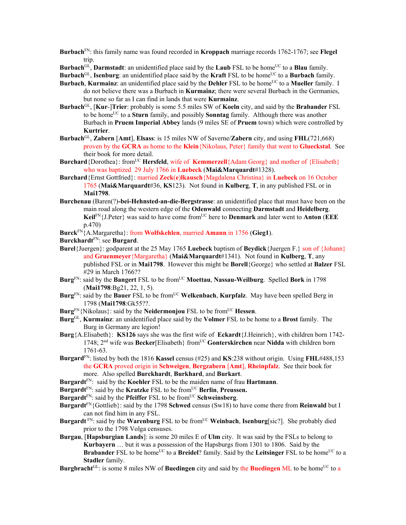**Burbach**FN: this family name was found recorded in **Kroppach** marriage records 1762-1767; see **Flegel** trip.

**Burbach**<sup>GL</sup>, **Darmstadt**: an unidentified place said by the **Laub** FSL to be home<sup>UC</sup> to a **Blau** family.

**Burbach**<sup>GL</sup>, **Isenburg**: an unidentified place said by the **Kraft** FSL to be home<sup>UC</sup> to a **Burbach** family.

- **Burbach, Kurmainz**: an unidentified place said by the **Dehler** FSL to be home<sup>UC</sup> to a **Mueller** family. I do not believe there was a Burbach in **Kurmainz**; there were several Burbach in the Germanies, but none so far as I can find in lands that were **Kurmainz**.
- **Burbach**GL, [**Kur**-]**Trier**: probably is some 5.5 miles SW of **Koeln** city, and said by the **Brabander** FSL to be home<sup>UC</sup> to a **Sturn** family, and possibly **Sonntag** family. Although there was another Burbach in **Pruem Imperial Abbey** lands (9 miles SE of **Pruem** town) which were controlled by **Kurtrier**.
- **Burbach**GL, **Zabern** [**Amt**], **Elsass**: is 15 miles NW of Saverne/**Zabern** city, and using **FHL**(721,668) proven by the **GCRA** as home to the **Klein**{Nikolaus, Peter} family that went to **Glueckstal**. See their book for more detail.
- **Burchard**{Dorothea}: from<sup>UC</sup> **Hersfeld**, wife of **Kemmerzell**{Adam Georg} and mother of {Elisabeth} who was baptized 29 July 1766 in **Luebeck** (**Mai&Marquardt**#1328).
- **Burchard**{Ernst Gottfried}: married **Zeck**(**e**)**lkausch**{Magdalena Christina} in **Luebeck** on 16 October 1765 (**Mai&Marquardt**#36, **KS**123). Not found in **Kulberg**, **T**, in any published FSL or in **Mai1798**.
- **Burchenau** (Baren(?)**-bei-Hehnsted-an-die-Bergstrasse**: an unidentified place that must have been on the main road along the western edge of the **Odenwald** connecting **Darmstadt** and **Heidelberg**. **Keil**FN{J.Peter} was said to have come fromUC here to **Denmark** and later went to **Anton** (**EEE** p.470)
- **Burck**FN{A.Margaretha}: from **Wolfskehlen**, married **Amann** in 1756 (**Gieg1**).
- **Burckhardt**FN: see **Burgard**.
- **Burel**{Juergen}: godparent at the 25 May 1765 **Luebeck** baptism of **Beydick**{Juergen F.} son of {Johann} and **Gruenmeyer**{Margaretha} (**Mai&Marquardt**#1341). Not found in **Kulberg**, **T**, any published FSL or in **Mai1798**. However this might be **Borell**{George} who settled at **Balzer** FSL #29 in March 1766??
- **Burg**FN: said by the **Bangert** FSL to be fromUC **Moettau**, **Nassau-Weilburg**. Spelled **Bork** in 1798 (**Mai1798**:Bg21, 22, 1, 5).
- **Burg**<sup>FN</sup>: said by the **Bauer** FSL to be from<sup>UC</sup> Welkenbach, Kurpfalz. May have been spelled Berg in 1798 (**Mai1798**:Gk55??.
- **Burg**FN{Nikolaus}: said by the **Neidermonjou** FSL to be fromUC **Hessen**.
- **Burg**GL, **Kurmainz**: an unidentified place said by the **Volmer** FSL to be home to a **Brost** family. The Burg in Germany are legion!
- **Burg**{A.Elisabeth}: **KS126** says she was the first wife of **Eckardt**{J.Heinrich}, with children born 1742- 1748; 2nd wife was **Becker**[Elisabeth} fromUC **Gonterskirchen** near **Nidda** with children born 1761-63.
- **Burgard**FN: listed by both the 1816 **Kassel** census (#25) and **KS**:238 without origin. Using **FHL**#488,153 the **GCRA** proved origin in **Schweigen**, **Bergzabern** [**Amt**], **Rheinpfalz**. See their book for more. Also spelled **Burckhardt**, **Burkhard**, and **Burkart**.
- **Burgardt**FN: said by the **Koehler** FSL to be the maiden name of frau **Hartmann**.

**Burgardt**<sup>FN</sup>: said by the **Kratzke** FSL to be from<sup>UC</sup> **Berlin**, **Preussen.** 

- Burgardt<sup>FN</sup>: said by the **Pfeiffer** FSL to be from<sup>UC</sup> **Schweinsberg**.
- **Burgardt**FN{Gottlieb}: said by the 1798 **Schwed** census (Sw18) to have come there from **Reinwald** but I can not find him in any FSL.
- **Burgardt** FN: said by the **Warenburg** FSL to be from<sup>UC</sup> **Weinbach**, **Isenburg**[sic?]. She probably died prior to the 1798 Volga censuses.
- **Burgau**, [**Hapsburgian Lands**]: is some 20 miles E of **Ulm** city. It was said by the FSLs to belong to **Kurbayern** … but it was a possession of the Hapsburgs from 1301 to 1806. Said by the **Brabander** FSL to be home<sup>UC</sup> to a **Breidel**? family. Said by the **Leitsinger** FSL to be home<sup>UC</sup> to a **Stadler** family.
- **Burgbracht**<sup>GL</sup>: is some 8 miles NW of **Buedingen** city and said by the **Buedingen** ML to be home<sup>UC</sup> to a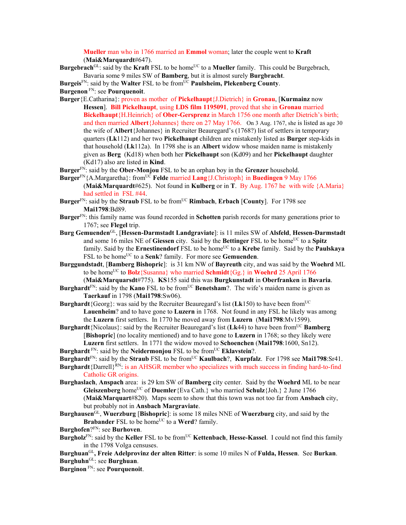**Mueller** man who in 1766 married an **Emmol** woman; later the couple went to **Kraft** (**Mai&Marquardt**#647).

**Burgebrach**<sup>GL</sup>: said by the **Kraft** FSL to be home<sup>UC</sup> to a **Mueller** family. This could be Burgebrach, Bavaria some 9 miles SW of **Bamberg**, but it is almost surely **Burgbracht**.

Burgeis<sup>FN</sup>: said by the Walter FSL to be from<sup>UC</sup> Paulsheim, Plekenberg County.

**Burgenon** FN: see **Pourquenoit**.

- **Burger**{E.Catharina}: proven as mother of **Pickelhaupt**{J.Dietrich} in **Gronau**, [**Kurmainz** now **Hessen**]. **Bill Pickelhaupt**, using **LDS film 1195091**, proved that she in **Gronau** married **Bickelhaupt**{H.Heinrich} of **Ober-Gersprenz** in March 1756 one month after Dietrich's birth; and then married **Albert**{Johannes} there on 27 May 1766. On 3 Aug. 1767, she is listed as age 30 the wife of **Albert**{Johannes} in Recruiter Beauregard's (1768?) list of settlers in temporary quarters (**Lk**112) and her two **Pickelhaupt** children are mistakenly listed as **Burger** step-kids in that household (**Lk**112a). In 1798 she is an **Albert** widow whose maiden name is mistakenly given as **Berg** (Kd18) when both her **Pickelhaupt** son (Kd09) and her **Pickelhaupt** daughter (Kd17) also are listed in **Kind**.
- **Burger**FN: said by the **Ober-Monjou** FSL to be an orphan boy in the **Grenzer** household.
- **Burger**FN{A.Margaretha}: fromUC **Felde** married **Lang**{J.Christoph} in **Buedingen** 9 May 1766 (**Mai&Marquardt**#625). Not found in **Kulberg** or in **T**. By Aug. 1767 he with wife {A.Maria} had settled in FSL #44.
- **Burger**FN: said by the **Straub** FSL to be fromUC **Rimbach**, **Erbach** [**County**]. For 1798 see **Mai1798**:Bd89.
- **Burger**FN: this family name was found recorded in **Schotten** parish records for many generations prior to 1767; see **Flegel** trip.
- **Burg Gemuenden**GL, [**Hessen-Darmstadt Landgraviate**]: is 11 miles SW of **Alsfeld**, **Hessen-Darmstadt** and some 16 miles NE of Giessen city. Said by the Bettinger FSL to be home<sup>UC</sup> to a Spitz family. Said by the **Ernestinendorf** FSL to be home<sup>UC</sup> to a **Krebe** family. Said by the **Paulskaya** FSL to be home<sup>UC</sup> to a **Senk**? family. For more see **Gemuenden**.
- **Burggundstadt**, [**Bamberg Bishopric**]: is 31 km NW of **Bayreuth** city, and was said by the **Woehrd** ML to be home<sup>UC</sup> to **Bolz**{Susanna} who married **Schmidt**{Gg<sub>3</sub>} in **Woehrd** 25 April 1766

(**Mai&Marquarsdt**#775). **KS**155 said this was **Burgkunstadt** in **Oberfranken** in **Bavaria**. **Burghardt**<sup>FN</sup>: said by the **Kano** FSL to be from<sup>UC</sup> **Benetsham**?. The wife's maiden name is given as **Taerkauf** in 1798 (**Mai1798**:Sw06).

- **Burghardt**{Georg}: was said by the Recruiter Beauregard's list (**Lk**150) to have been fromUC **Lauenheim**? and to have gone to **Luzern** in 1768. Not found in any FSL he likely was among the **Luzern** first settlers. In 1770 he moved away from **Luzern** (**Mai1798**:Mv1599).
- **Burghardt**{Nicolaus}: said by the Recruiter Beauregard's list (Lk44) to have been from<sup>UC</sup> Bamberg [**Bishopric**] (no locality mentioned) and to have gone to **Luzern** in 1768; so they likely were **Luzern** first settlers. In 1771 the widow moved to **Schoenchen** (**Mai1798**:1600, Sn12). **Burghardt**<sup>FN</sup>: said by the **Neidermonjou** FSL to be from<sup>UC</sup> **Eklavstein**?.

**Burghardt**FN: said by the **Straub** FSL to be fromUC **Kaulbach**?, **Kurpfalz**. For 1798 see **Mai1798**:Sr41.

- **Burghardt**{Darrell}RN: is an AHSGR member who specializes with much success in finding hard-to-find Catholic GR origins.
- **Burghaslach**, **Anspach** area: is 29 km SW of **Bamberg** city center. Said by the **Woehrd** ML to be near **Gleiszenberg** homeUC of **Duemler**{Eva Cath.} who married **Schulz**{Joh.} 2 June 1766 (**Mai&Marquart**#820). Maps seem to show that this town was not too far from **Ansbach** city, but probably not in **Ansbach Margraviate**.
- **Burghausen**GL, **Wuerzburg** [**Bishopric**]: is some 18 miles NNE of **Wuerzburg** city, and said by the **Brabander** FSL to be home<sup>UC</sup> to a **Werd**? family.

**Burghofen**?FN: see **Burhoven**.

- **Burgholz**<sup>FN</sup>: said by the **Keller** FSL to be from<sup>UC</sup> **Kettenbach**, **Hesse-Kassel**. I could not find this family in the 1798 Volga censuses.
- **Burghuan**GL**, Freie Adelprovinz der alten Ritter**: is some 10 miles N of **Fulda, Hessen**. See **Burkan**. **Burghuhn**GL: see **Burghuan**.

**Burginon** FN: see **Pourquenoit**.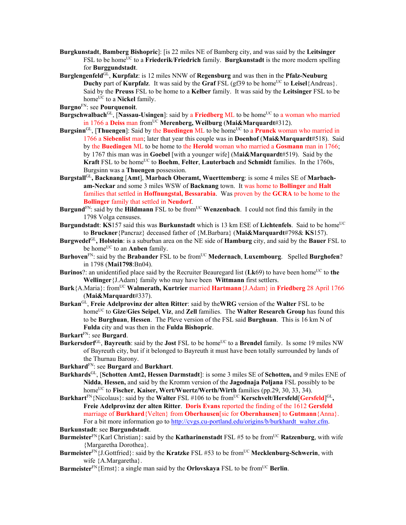- **Burgkunstadt**, **Bamberg Bishopric**]: [is 22 miles NE of Bamberg city, and was said by the **Leitsinger** FSL to be home<sup>UC</sup> to a **Friederik/Friedrich** family. **Burgkunstadt** is the more modern spelling for **Burggundstadt**.
- **Burglengenfeld**GL, **Kurpfalz**: is 12 miles NNW of **Regensburg** and was then in the **Pfalz-Neuburg Duchy** part of **Kurpfalz**. It was said by the **Graf** FSL (gf39 to be home<sup>UC</sup> to **Leisel**{Andreas}. Said by the **Preuss** FSL to be home to a **Kelber** family. It was said by the **Leitsinger** FSL to be home<sup>UC</sup> to a **Nickel** family.
- **Burgno**FN: see **Pourquenoit**.
- **Burgschwalbach**<sup>GL</sup>, [Nassau-Usingen]: said by a Friedberg ML to be home<sup>UC</sup> to a woman who married in 1766 a **Deiss** man from<sup>UC</sup> Merenberg, Weilburg (Mai&Marquardt#312).
- **Burgsinn**<sup>GL</sup>, [Thuengen]: Said by the **Buedingen** ML to be home<sup>UC</sup> to a **Prunck** woman who married in 1766 a **Siebenlist** man; later that year this couple was in **Doenhof** (**Mai&Marquardt**#518). Said by the **Buedingen** ML to be home to the **Herold** woman who married a **Gosmann** man in 1766; by 1767 this man was in **Goebel** [with a younger wife] (M**ai&Marquardt**#519). Said by the **Kraft** FSL to be home<sup>UC</sup> to **Boehm**, **Felter**, **Lauterbach** and **Schmidt** families. In the 1760s, Burgsinn was a **Thuengen** possession.
- **Burgstall**GL**, Backnang** [**Amt**], **Marbach Oberamt, Wuerttemberg**: is some 4 miles SE of **Marbacham-Neckar** and some 3 miles WSW of **Backnang** town. It was home to **Bollinger** and **Halt**  families that settled in **Hoffnungstal, Bessarabia**. Was proven by the **GCRA** to be home to the **Bollinger** family that settled in **Neudorf**.
- **Burgund**<sup>FN</sup>: said by the **Hildmann** FSL to be from<sup>UC</sup> Wenzenbach. I could not find this family in the 1798 Volga censuses.
- **Burgundstadt: KS157** said this was **Burkunstadt** which is 13 km ESE of **Lichtenfels**. Said to be home<sup>UC</sup> to **Bruckner**{Pancraz} deceased father of {M.Barbara} (**Mai&Marquardt**#798& **KS**157).
- **Burgwedel**GL**, Holstein**: is a suburban area on the NE side of **Hamburg** city, and said by the **Bauer** FSL to be home<sup>UC</sup> to an **Anben** family.
- **Burhoven**<sup>FN</sup>: said by the **Brabander** FSL to be from<sup>UC</sup> Medernach, Luxembourg. Spelled Burghofen? in 1798 (**Mai1798**:Bn04).
- **Burinos**?: an unidentified place said by the Recruiter Beauregard list (Lk69) to have been home<sup>UC</sup> to the **Wellinger**{J.Adam} family who may have been **Wittmann** first settlers.
- **Burk**{A.Maria}: fromUC **Walmerath, Kurtrier** married **Hartmann**{J.Adam} in **Friedberg** 28 April 1766 (**Mai&Marquardt**#337).
- **Burkan**GL, **Freie Adelprovinz der alten Ritter**: said by the**WRG** version of the **Walter** FSL to be home<sup>UC</sup> to Gize/Gies Seipel, Viz, and Zell families. The Walter Research Group has found this to be **Burghuan**, **Hessen**. The Pleve version of the FSL said **Burghuan**. This is 16 km N of **Fulda** city and was then in the **Fulda Bishopric**.
- **Burkart**FN: see **Burgard**.
- **Burkersdorf**<sup>GL</sup>, **Bayreuth**: said by the **Jost** FSL to be home<sup>UC</sup> to a **Brendel** family. Is some 19 miles NW of Bayreuth city, but if it belonged to Bayreuth it must have been totally surrounded by lands of the Thurnau Barony.
- **Burkhard**FN: see **Burgard** and **Burkhart**.
- **Burkhards**GL, [**Schotten Amt2, Hessen Darmstadt**]: is some 3 miles SE of **Schotten,** and 9 miles ENE of **Nidda**, **Hessen,** and said by the Kromm version of the **Jagodnaja Poljana** FSL possibly to be home<sup>UC</sup> to **Fischer**, **Kaiser**, **Wert/Wuertz/Werth/Wirth** families (pp.29, 30, 33, 34).
- **Burkhart**<sup>FN</sup>{Nicolaus}: said by the Walter FSL #106 to be from<sup>UC</sup> Kerschvelt/Hersfeld[Gersfeld]<sup>GL</sup>, **Freie Adelprovinz der alten Ritter**. **Doris Evans** reported the finding of the 1612 **Gersfeld** marriage of **Burkhard**{Velten} from **Oberhausen**[sic for **Obernhausen**] to **Gutmann**{Anna}. For a bit more information go to http://cvgs.cu-portland.edu/origins/b/burkhardt\_walter.cfm.

**Burkunstadt**: see **Burgundstadt**.

- **Burmeister**FN{Karl Christian}: said by the **Katharinenstadt** FSL #5 to be fromUC **Ratzenburg**, with wife {Margaretha Dorothea}.
- **Burmeister**<sup>FN</sup>{J.Gottfried}: said by the **Kratzke** FSL #53 to be from<sup>UC</sup> **Mecklenburg-Schwerin**, with wife {A.Margaretha}.
- **Burmeister**<sup>FN</sup>{Ernst}: a single man said by the **Orlovskaya** FSL to be from<sup>UC</sup> **Berlin**.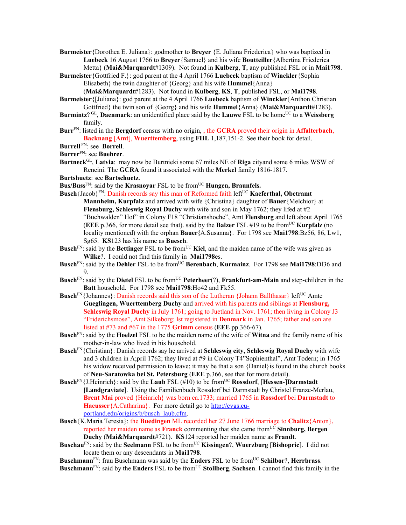**Burmeister**{Dorothea E. Juliana}: godmother to **Breyer** {E. Juliana Friederica} who was baptized in **Luebeck** 16 August 1766 to **Breyer**{Samuel} and his wife **Boutteiller**{Albertina Friederica Metta} (**Mai&Marquardt**#1309). Not found in **Kulberg**, **T**, any published FSL or in **Mai1798**.

**Burmeister**{Gottfried F.}: god parent at the 4 April 1766 **Luebeck** baptism of **Winckler**{Sophia Elisabeth} the twin daughter of {Georg} and his wife **Hummel**{Anna}

(**Mai&Marquardt**#1283). Not found in **Kulberg**, **KS**, **T**, published FSL, or **Mai1798**.

**Burmeister**{[Juliana}: god parent at the 4 April 1766 **Luebeck** baptism of **Winckler**{Anthon Christian Gottfried} the twin son of {Georg} and his wife **Hummel**{Anna} (**Mai&Marquardt**#1283).

- **Burmintz**? GL, **Daenmark**: an unidentified place said by the **Lauwe** FSL to be homeUC to a **Weissberg** family.
- **Burr**FN: listed in the **Bergdorf** census with no origin, , the **GCRA** proved their origin in **Affalterbach**, **Backnang** [**Amt**], **Wuerttemberg**, using **FHL** 1,187,151-2. See their book for detail.

**Burrell** FN: see **Borrell**.

**Burrer**FN: see **Buehrer**.

**Burtneck**GL, **Latvia**: may now be Burtnieki some 67 miles NE of **Riga** cityand some 6 miles WSW of Rencini. The **GCRA** found it associated with the **Merkel** family 1816-1817.

**Burtshuetz**: see **Bartschuetz**.

**Bus/Buss**<sup>FN</sup>: said by the **Krasnovar** FSL to be from<sup>UC</sup> **Hungen, Braunfels.** 

Busch {Jacob}<sup>FN</sup>: Danish records say this man of Reformed faith left<sup>UC</sup> **Kaeferthal, Obetramt Mannheim, Kurpfalz** and arrived with wife {Christina} daughter of **Bauer**{Melchior} at **Flensburg, Schleswig Royal Duchy** with wife and son in May 1762; they lifed at #2 "Buchwalden" Hof" in Colony F18 "Christianshoehe", Amt **Flensburg** and left about April 1765 (**EEE** p.366, for more detail see that). said by the **Balzer** FSL #19 to be fromUC **Kurpfalz** (no locality mentioned) with the orphan **Bauer{**A.Susanna}. For 1798 see **Mai1798**:Bz56, 86, Lw1, Sg65. **KS**123 has his name as **Buesch**.

- **Busch**<sup>FN</sup>: said by the **Bettinger** FSL to be from<sup>UC</sup> Kiel, and the maiden name of the wife was given as **Wilke**?. I could not find this family in **Mai1798**es.
- **Busch**FN: said by the **Dehler** FSL to be fromUC **Berenbach**, **Kurmainz**. For 1798 see **Mai1798**:Dl36 and 9.
- **Busch**FN: said by the **Dietel** FSL to be fromUC **Peterheer**(?), **Frankfurt-am-Main** and step-children in the **Batt** household. For 1798 see **Mai1798**:Ho42 and Fk55.
- **Busch**<sup>FN</sup>{Johannes}: Danish records said this son of the Lutheran {Johann Ballthasar} left<sup>UC</sup> Amte **Gueglingen, Wuerttemberg Duchy** and arrived with his parents and siblings at **Flensburg, Schleswig Royal Duchy** in July 1761; going to Juetland in Nov. 1761; then living in Colony J3 "Friderichsmose", Amt Silkeborg; lst registered in **Denmark** in Jan. 1765; father and son are listed at #73 and #67 in the 1775 **Grimm** census (**EEE** pp.366-67).
- **Busch**FN: said by the **Hoelzel** FSL to be the maiden name of the wife of **Witna** and the family name of his mother-in-law who lived in his household.
- **Busch**FN{Christian}: Danish records say he arrived at **Schleswig city, Schleswig Royal Duchy** with wife and 3 children in A;pril 1762; they lived at #9 in Colony T4"Sophienthal", Amt Todern; in 1765 his widow received permission to leave; it may be that a son {Daniel}is found in the church books of **Neu-Saratowka bei St. Petersburg** (**EEE** p.366, see that for more detail).
- **Busch**<sup>FN</sup>{J.Heinrich}: said by the **Laub** FSL (#10) to be from<sup>UC</sup> **Rossdorf**, [**Hessen-**]Darmstadt **[Landgraviate**].Using the Familienbuch Rossdorf bei Darmstadt by Christel Franze-Merlau, **Brent Mai** proved {Heinrich} was born ca.1733; married 1765 in **Rossdorf** bei **Darmstadt** to **Haeusser**{A.Catharina}. For more detail go to http://cvgs.cuportland.edu/origins/b/busch\_laub.cfm.
- **Busch**{K.Maria Teresia}: the **Buedingen** ML recorded her 27 June 1766 marriage to **Chalitz**{Anton}, reported her maiden name as **Franck** commenting that she came from<sup>UC</sup> Sinnburg, Bergen **Duchy** (**Mai&Marquardt**#721). **KS**124 reported her maiden name as **Frandt**.
- **Buschau**<sup>FN</sup>: said by the **Seelmann** FSL to be from<sup>UC</sup> **Kissingen**?, **Wuerzburg** [Bishopric]. I did not locate them or any descendants in **Mai1798**.
- **Buschmann**FN: frau Buschmann was said by the **Enders** FSL to be fromUC **Schilbor**?, **Herrbrass**. **Buschmann**<sup>FN</sup>: said by the **Enders** FSL to be from<sup>UC</sup> **Stollberg**, **Sachsen**. I cannot find this family in the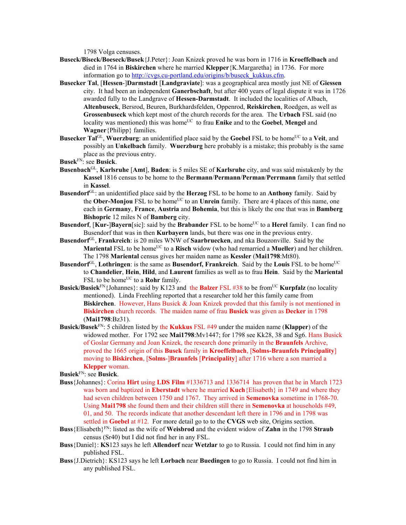1798 Volga censuses.

- **Buseck/Biseck/Boeseck/Busek**{J.Peter}: Joan Knizek proved he was born in 1716 in **Kroeffelbach** and died in 1764 in **Biskirchen** where he married **Klepper**{K.Margaretha} in 1736. For more information go to http://cvgs.cu-portland.edu/origins/b/buseck\_kukkus.cfm.
- **Busecker Tal**, [**Hessen**-]**Darmstadt** [**Landgraviate**]: was a geographical area mostly just NE of **Giessen** city. It had been an independent **Ganerbschaft**, but after 400 years of legal dispute it was in 1726 awarded fully to the Landgrave of **Hessen-Darmstadt**. It included the localities of Albach, **Altenbuseck**, Bersrod, Beuren, Burkhardsfelden, Oppenrod, **Reiskirchen**, Roedgen, as well as **Grossenbuseck** which kept most of the church records for the area. The **Urbach** FSL said (no locality was mentioned) this was home<sup>UC</sup> to frau **Enike** and to the **Goebel**, **Mengel** and **Wagner**{Philipp} families.
- **Busecker Tal**<sup>GL</sup>, **Wuerzburg**: an unidentified place said by the **Goebel** FSL to be home<sup>UC</sup> to a **Veit**, and possibly an **Unkelbach** family. **Wuerzburg** here probably is a mistake; this probably is the same place as the previous entry.

- **Busenbach**GL, **Karlsruhe** [**Amt**], **Baden**: is 5 miles SE of **Karlsruhe** city, and was said mistakenly by the **Kassel** 1816 census to be home to the **Bermann**/**Permann**/**Perman**/**Perrmann** family that settled in **Kassel**.
- **Busendorf**GL: an unidentified place said by the **Herzog** FSL to be home to an **Anthony** family. Said by the **Ober-Monjou** FSL to be home<sup>UC</sup> to an **Unrein** family. There are 4 places of this name, one each in **Germany**, **France**, **Austria** and **Bohemia**, but this is likely the one that was in **Bamberg Bishopric** 12 miles N of **Bamberg** city.
- **Busendorf, [Kur-]Bayern**[sic]: said by the **Brabander** FSL to be home<sup>UC</sup> to a **Herel** family. I can find no Busendorf that was in then **Kurbayern** lands, but there was one in the previous entry.
- **Busendorf**GL, **Frankreich**: is 20 miles WNW of **Saarbruecken**, and nka Bouzonville. Said by the **Mariental FSL to be home**<sup>UC</sup> to a **Risch** widow (who had remarried a **Mueller**) and her children. The 1798 **Mariental** census gives her maiden name as **Kessler** (**Mai1798**:Mt80).
- **Busendorf**<sup>GL</sup>, **Lothringen**: is the same as **Busendorf, Frankreich**. Said by the **Louis** FSL to be home<sup>UC</sup> to **Chandelier**, **Hein**, **Hild**, and **Laurent** families as well as to frau **Hein**. Said by the **Mariental**  FSL to be home<sup>UC</sup> to a **Rohr** family.
- **Busick/Busiek**<sup>FN</sup>{Johannes}: said by K123 and the **Balzer** FSL #38 to be from<sup>UC</sup> **Kurpfalz** (no locality mentioned). Linda Freehling reported that a researcher told her this family came from **Biskirchen**. However, Hans Busick & Joan Knizek provded that this family is not mentioned in **Biskirchen** church records. The maiden name of frau **Busick** was given as **Decker** in 1798 (**Mai1798**:Bz31).
- **Busick/Busek**FN: 5 children listed by the **Kukkus** FSL #49 under the maiden name (**Klapper**) of the widowed mother. For 1792 see **Mai1798**:Mv1447; for 1798 see Kk28, 38 and Sg6. Hans Busick of Goslar Germany and Joan Knizek, the research done primarily in the **Braunfels** Archive, proved the 1665 origin of this **Busek** family in **Kroeffelbach**, [**Solms-Braunfels Principality**] moving to **Biskirchen**, [**Solms**-]**Braunfels** [**Principality**] after 1716 where a son married a **Klepper** woman.

**Busiek**FN: see **Busick**.

- **Buss**{Johannes}: Corina **Hirt** using **LDS Film** #1336713 and 1336714 has proven that he in March 1723 was born and baptized in **Eberstadt** where he married **Kuch**{Elisabeth} in 1749 and where they had seven children between 1750 and 1767. They arrived in **Semenovka** sometime in 1768-70. Using **Mai1798** she found them and their children still there in **Semenovka** at households #49, 01, and 50. The records indicate that another descendant left there in 1796 and in 1798 was settled in **Goebel** at #12. For more detail go to to the **CVGS** web site, Origins section.
- **Buss**{Elisabeth}FN: listed as the wife of **Weisbrod** and the evident widow of **Zahn** in the 1798 **Straub** census (Sr40) but I did not find her in any FSL.
- **Buss**{Daniel}: **KS**123 says he left **Allendorf** near **Wetzlar** to go to Russia. I could not find him in any published FSL.
- **Buss**{J.Dietrich}: KS123 says he left **Lorbach** near **Buedingen** to go to Russia. I could not find him in any published FSL.

**Busek**FN: see **Busick**.